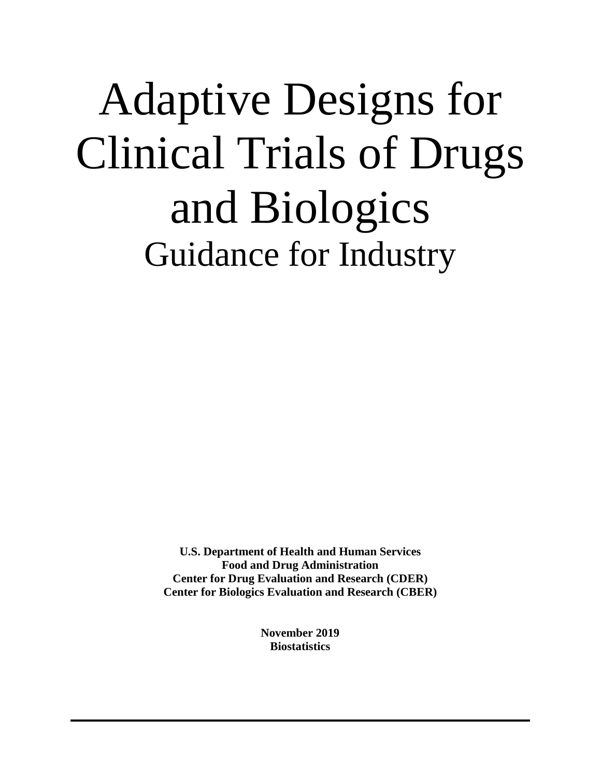# Adaptive Designs for Clinical Trials of Drugs and Biologics Guidance for Industry

**U.S. Department of Health and Human Services Food and Drug Administration Center for Drug Evaluation and Research (CDER) Center for Biologics Evaluation and Research (CBER)**

> **November 2019 Biostatistics**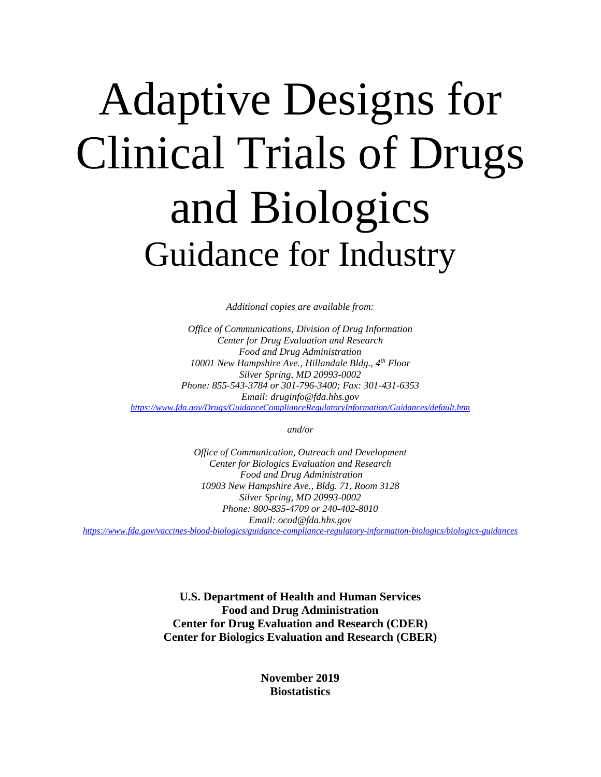# Adaptive Designs for Clinical Trials of Drugs and Biologics Guidance for Industry

*Additional copies are available from:*

*Office of Communications, Division of Drug Information Center for Drug Evaluation and Research Food and Drug Administration 10001 New Hampshire Ave., Hillandale Bldg., 4th Floor Silver Spring, MD 20993-0002 Phone: 855-543-3784 or 301-796-3400; Fax: 301-431-6353 Email: druginfo@fda.hhs.gov <https://www.fda.gov/Drugs/GuidanceComplianceRegulatoryInformation/Guidances/default.htm>*

*and/or*

*Office of Communication, Outreach and Development Center for Biologics Evaluation and Research Food and Drug Administration 10903 New Hampshire Ave., Bldg. 71, Room 3128 Silver Spring, MD 20993-0002 Phone: 800-835-4709 or 240-402-8010 Email: ocod@fda.hhs.gov https://www.fda.gov/vaccines-blood-biologics/guidance-compliance-regulatory-information-biologics/biologics-guidances*

> **U.S. Department of Health and Human Services Food and Drug Administration Center for Drug Evaluation and Research (CDER) Center for Biologics Evaluation and Research (CBER)**

> > **November 2019 Biostatistics**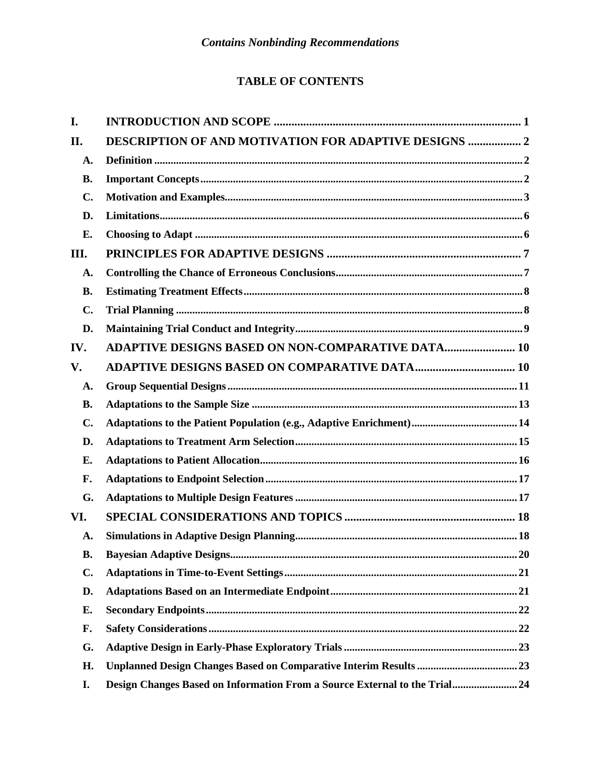# **TABLE OF CONTENTS**

| I.             |                                                                           |
|----------------|---------------------------------------------------------------------------|
| II.            | <b>DESCRIPTION OF AND MOTIVATION FOR ADAPTIVE DESIGNS  2</b>              |
| A.             |                                                                           |
| <b>B.</b>      |                                                                           |
| $\mathbf{C}$ . |                                                                           |
| D.             |                                                                           |
| Е.             |                                                                           |
| III.           |                                                                           |
| A.             |                                                                           |
| <b>B.</b>      |                                                                           |
| $\mathbf{C}$ . |                                                                           |
| D.             |                                                                           |
| IV.            | <b>ADAPTIVE DESIGNS BASED ON NON-COMPARATIVE DATA 10</b>                  |
| V.             |                                                                           |
| A.             |                                                                           |
| <b>B.</b>      |                                                                           |
| $\mathbf{C}$ . |                                                                           |
| D.             |                                                                           |
| Е.             |                                                                           |
| F.             |                                                                           |
| G.             |                                                                           |
| VI.            |                                                                           |
| A.             |                                                                           |
| <b>B.</b>      | 20                                                                        |
| $\mathbf{C}$ . |                                                                           |
| D.             |                                                                           |
| Е.             |                                                                           |
| F.             |                                                                           |
| G.             |                                                                           |
| Н.             |                                                                           |
| I.             | Design Changes Based on Information From a Source External to the Trial24 |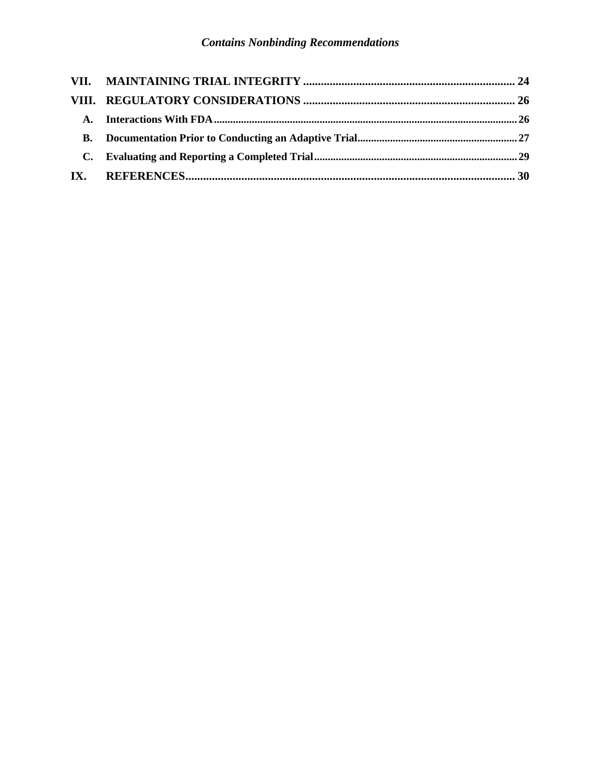| <b>A.</b> |  |
|-----------|--|
|           |  |
|           |  |
|           |  |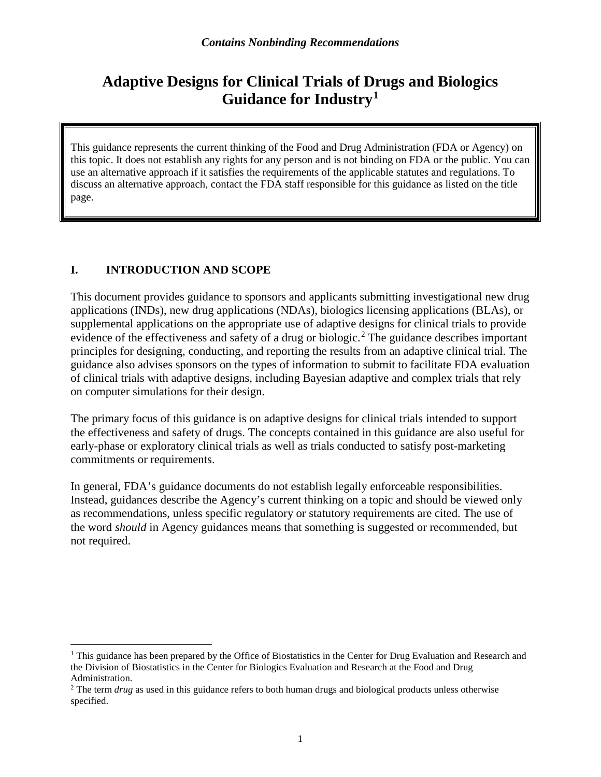# **Adaptive Designs for Clinical Trials of Drugs and Biologics Guidance for Industry[1](#page-4-0)**

This guidance represents the current thinking of the Food and Drug Administration (FDA or Agency) on this topic. It does not establish any rights for any person and is not binding on FDA or the public. You can use an alternative approach if it satisfies the requirements of the applicable statutes and regulations. To discuss an alternative approach, contact the FDA staff responsible for this guidance as listed on the title page.

# **I. INTRODUCTION AND SCOPE**

This document provides guidance to sponsors and applicants submitting investigational new drug applications (INDs), new drug applications (NDAs), biologics licensing applications (BLAs), or supplemental applications on the appropriate use of adaptive designs for clinical trials to provide evidence of the effectiveness and safety of a drug or biologic. [2](#page-4-1) The guidance describes important principles for designing, conducting, and reporting the results from an adaptive clinical trial. The guidance also advises sponsors on the types of information to submit to facilitate FDA evaluation of clinical trials with adaptive designs, including Bayesian adaptive and complex trials that rely on computer simulations for their design.

The primary focus of this guidance is on adaptive designs for clinical trials intended to support the effectiveness and safety of drugs. The concepts contained in this guidance are also useful for early-phase or exploratory clinical trials as well as trials conducted to satisfy post-marketing commitments or requirements.

In general, FDA's guidance documents do not establish legally enforceable responsibilities. Instead, guidances describe the Agency's current thinking on a topic and should be viewed only as recommendations, unless specific regulatory or statutory requirements are cited. The use of the word *should* in Agency guidances means that something is suggested or recommended, but not required.

<span id="page-4-0"></span><sup>&</sup>lt;sup>1</sup> This guidance has been prepared by the Office of Biostatistics in the Center for Drug Evaluation and Research and the Division of Biostatistics in the Center for Biologics Evaluation and Research at the Food and Drug Administration.

<span id="page-4-1"></span><sup>&</sup>lt;sup>2</sup> The term *drug* as used in this guidance refers to both human drugs and biological products unless otherwise specified.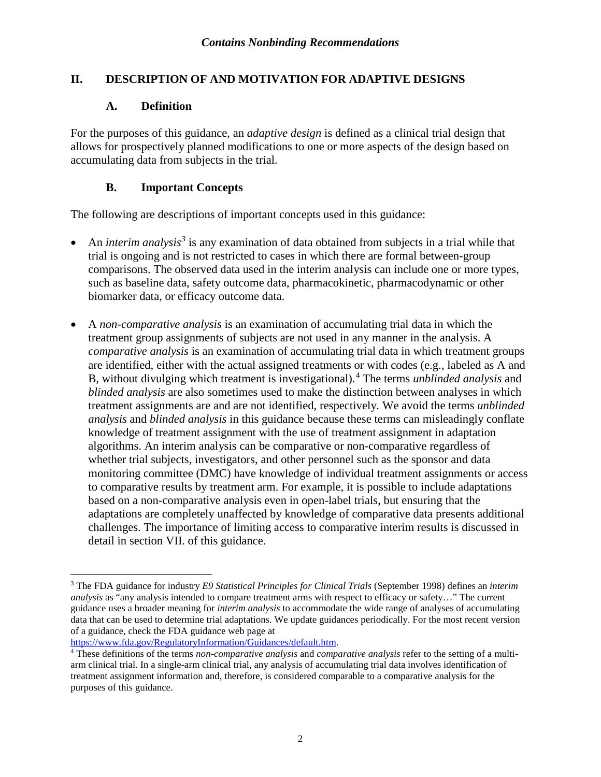## **II. DESCRIPTION OF AND MOTIVATION FOR ADAPTIVE DESIGNS**

## **A. Definition**

For the purposes of this guidance, an *adaptive design* is defined as a clinical trial design that allows for prospectively planned modifications to one or more aspects of the design based on accumulating data from subjects in the trial.

## **B. Important Concepts**

The following are descriptions of important concepts used in this guidance:

- An *interim analysis<sup>[3](#page-5-0)</sup>* is any examination of data obtained from subjects in a trial while that trial is ongoing and is not restricted to cases in which there are formal between-group comparisons. The observed data used in the interim analysis can include one or more types, such as baseline data, safety outcome data, pharmacokinetic, pharmacodynamic or other biomarker data, or efficacy outcome data.
- A *non-comparative analysis* is an examination of accumulating trial data in which the treatment group assignments of subjects are not used in any manner in the analysis. A *comparative analysis* is an examination of accumulating trial data in which treatment groups are identified, either with the actual assigned treatments or with codes (e.g., labeled as A and B, without divulging which treatment is investigational).[4](#page-5-1) The terms *unblinded analysis* and *blinded analysis* are also sometimes used to make the distinction between analyses in which treatment assignments are and are not identified, respectively*.* We avoid the terms *unblinded analysis* and *blinded analysis* in this guidance because these terms can misleadingly conflate knowledge of treatment assignment with the use of treatment assignment in adaptation algorithms. An interim analysis can be comparative or non-comparative regardless of whether trial subjects, investigators, and other personnel such as the sponsor and data monitoring committee (DMC) have knowledge of individual treatment assignments or access to comparative results by treatment arm. For example, it is possible to include adaptations based on a non-comparative analysis even in open-label trials, but ensuring that the adaptations are completely unaffected by knowledge of comparative data presents additional challenges. The importance of limiting access to comparative interim results is discussed in detail in section VII. of this guidance.

[https://www.fda.gov/RegulatoryInformation/Guidances/default.htm.](https://www.fda.gov/RegulatoryInformation/Guidances/default.htm)

<span id="page-5-0"></span> <sup>3</sup> The FDA guidance for industry *E9 Statistical Principles for Clinical Trials* (September 1998) defines an *interim analysis* as "any analysis intended to compare treatment arms with respect to efficacy or safety…" The current guidance uses a broader meaning for *interim analysis* to accommodate the wide range of analyses of accumulating data that can be used to determine trial adaptations. We update guidances periodically. For the most recent version of a guidance, check the FDA guidance web page at

<span id="page-5-1"></span><sup>4</sup> These definitions of the terms *non-comparative analysis* and *comparative analysis* refer to the setting of a multiarm clinical trial. In a single-arm clinical trial, any analysis of accumulating trial data involves identification of treatment assignment information and, therefore, is considered comparable to a comparative analysis for the purposes of this guidance.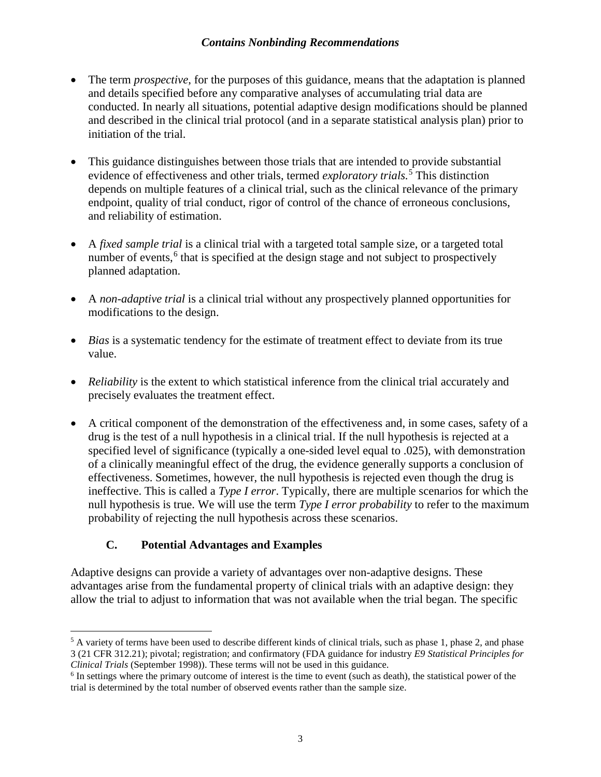- The term *prospective*, for the purposes of this guidance, means that the adaptation is planned and details specified before any comparative analyses of accumulating trial data are conducted. In nearly all situations, potential adaptive design modifications should be planned and described in the clinical trial protocol (and in a separate statistical analysis plan) prior to initiation of the trial.
- This guidance distinguishes between those trials that are intended to provide substantial evidence of effectiveness and other trials, termed *exploratory trials.* [5](#page-6-0) This distinction depends on multiple features of a clinical trial, such as the clinical relevance of the primary endpoint, quality of trial conduct, rigor of control of the chance of erroneous conclusions, and reliability of estimation.
- A *fixed sample trial* is a clinical trial with a targeted total sample size, or a targeted total number of events,<sup>[6](#page-6-1)</sup> that is specified at the design stage and not subject to prospectively planned adaptation.
- A *non-adaptive trial* is a clinical trial without any prospectively planned opportunities for modifications to the design.
- *Bias* is a systematic tendency for the estimate of treatment effect to deviate from its true value.
- *Reliability* is the extent to which statistical inference from the clinical trial accurately and precisely evaluates the treatment effect.
- A critical component of the demonstration of the effectiveness and, in some cases, safety of a drug is the test of a null hypothesis in a clinical trial. If the null hypothesis is rejected at a specified level of significance (typically a one-sided level equal to .025), with demonstration of a clinically meaningful effect of the drug, the evidence generally supports a conclusion of effectiveness. Sometimes, however, the null hypothesis is rejected even though the drug is ineffective. This is called a *Type I error*. Typically, there are multiple scenarios for which the null hypothesis is true. We will use the term *Type I error probability* to refer to the maximum probability of rejecting the null hypothesis across these scenarios.

# **C. Potential Advantages and Examples**

Adaptive designs can provide a variety of advantages over non-adaptive designs. These advantages arise from the fundamental property of clinical trials with an adaptive design: they allow the trial to adjust to information that was not available when the trial began. The specific

<span id="page-6-0"></span> $5$  A variety of terms have been used to describe different kinds of clinical trials, such as phase 1, phase 2, and phase 3 (21 CFR 312.21); pivotal; registration; and confirmatory (FDA guidance for industry *E9 Statistical Principles for Clinical Trials* (September 1998)). These terms will not be used in this guidance.

<span id="page-6-1"></span> $6$  In settings where the primary outcome of interest is the time to event (such as death), the statistical power of the trial is determined by the total number of observed events rather than the sample size.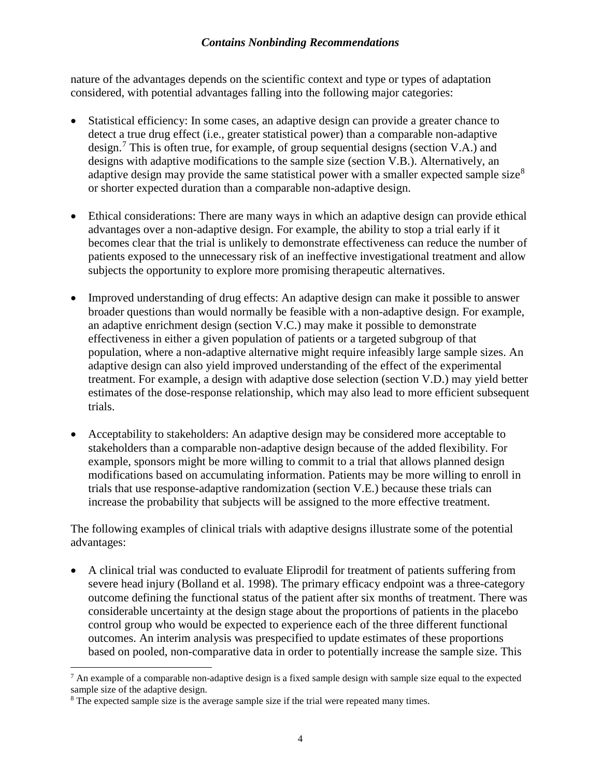nature of the advantages depends on the scientific context and type or types of adaptation considered, with potential advantages falling into the following major categories:

- Statistical efficiency: In some cases, an adaptive design can provide a greater chance to detect a true drug effect (i.e., greater statistical power) than a comparable non-adaptive design.<sup>[7](#page-7-0)</sup> This is often true, for example, of group sequential designs (section V.A.) and designs with adaptive modifications to the sample size (section V.B.). Alternatively, an adaptive design may provide the same statistical power with a smaller expected sample size<sup>[8](#page-7-1)</sup> or shorter expected duration than a comparable non-adaptive design.
- Ethical considerations: There are many ways in which an adaptive design can provide ethical advantages over a non-adaptive design. For example, the ability to stop a trial early if it becomes clear that the trial is unlikely to demonstrate effectiveness can reduce the number of patients exposed to the unnecessary risk of an ineffective investigational treatment and allow subjects the opportunity to explore more promising therapeutic alternatives.
- Improved understanding of drug effects: An adaptive design can make it possible to answer broader questions than would normally be feasible with a non-adaptive design. For example, an adaptive enrichment design (section V.C.) may make it possible to demonstrate effectiveness in either a given population of patients or a targeted subgroup of that population, where a non-adaptive alternative might require infeasibly large sample sizes. An adaptive design can also yield improved understanding of the effect of the experimental treatment. For example, a design with adaptive dose selection (section V.D.) may yield better estimates of the dose-response relationship, which may also lead to more efficient subsequent trials.
- Acceptability to stakeholders: An adaptive design may be considered more acceptable to stakeholders than a comparable non-adaptive design because of the added flexibility. For example, sponsors might be more willing to commit to a trial that allows planned design modifications based on accumulating information. Patients may be more willing to enroll in trials that use response-adaptive randomization (section V.E.) because these trials can increase the probability that subjects will be assigned to the more effective treatment.

The following examples of clinical trials with adaptive designs illustrate some of the potential advantages:

• A clinical trial was conducted to evaluate Eliprodil for treatment of patients suffering from severe head injury (Bolland et al. 1998). The primary efficacy endpoint was a three-category outcome defining the functional status of the patient after six months of treatment. There was considerable uncertainty at the design stage about the proportions of patients in the placebo control group who would be expected to experience each of the three different functional outcomes. An interim analysis was prespecified to update estimates of these proportions based on pooled, non-comparative data in order to potentially increase the sample size. This

<span id="page-7-0"></span> $7$  An example of a comparable non-adaptive design is a fixed sample design with sample size equal to the expected sample size of the adaptive design.

<span id="page-7-1"></span> $8$  The expected sample size is the average sample size if the trial were repeated many times.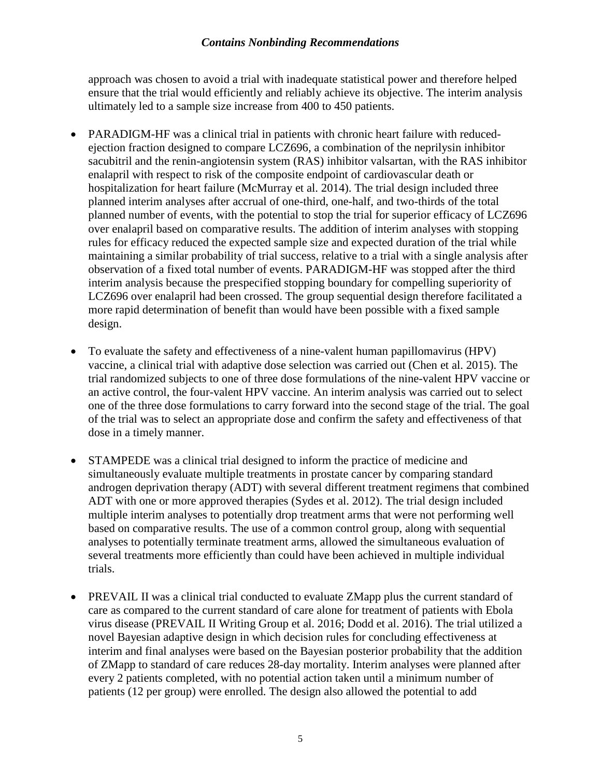approach was chosen to avoid a trial with inadequate statistical power and therefore helped ensure that the trial would efficiently and reliably achieve its objective. The interim analysis ultimately led to a sample size increase from 400 to 450 patients.

- PARADIGM-HF was a clinical trial in patients with chronic heart failure with reducedejection fraction designed to compare LCZ696, a combination of the neprilysin inhibitor sacubitril and the renin-angiotensin system (RAS) inhibitor valsartan, with the RAS inhibitor enalapril with respect to risk of the composite endpoint of cardiovascular death or hospitalization for heart failure (McMurray et al. 2014). The trial design included three planned interim analyses after accrual of one-third, one-half, and two-thirds of the total planned number of events, with the potential to stop the trial for superior efficacy of LCZ696 over enalapril based on comparative results. The addition of interim analyses with stopping rules for efficacy reduced the expected sample size and expected duration of the trial while maintaining a similar probability of trial success, relative to a trial with a single analysis after observation of a fixed total number of events. PARADIGM-HF was stopped after the third interim analysis because the prespecified stopping boundary for compelling superiority of LCZ696 over enalapril had been crossed. The group sequential design therefore facilitated a more rapid determination of benefit than would have been possible with a fixed sample design.
- To evaluate the safety and effectiveness of a nine-valent human papillomavirus (HPV) vaccine, a clinical trial with adaptive dose selection was carried out (Chen et al. 2015). The trial randomized subjects to one of three dose formulations of the nine-valent HPV vaccine or an active control, the four-valent HPV vaccine. An interim analysis was carried out to select one of the three dose formulations to carry forward into the second stage of the trial. The goal of the trial was to select an appropriate dose and confirm the safety and effectiveness of that dose in a timely manner.
- STAMPEDE was a clinical trial designed to inform the practice of medicine and simultaneously evaluate multiple treatments in prostate cancer by comparing standard androgen deprivation therapy (ADT) with several different treatment regimens that combined ADT with one or more approved therapies (Sydes et al. 2012). The trial design included multiple interim analyses to potentially drop treatment arms that were not performing well based on comparative results. The use of a common control group, along with sequential analyses to potentially terminate treatment arms, allowed the simultaneous evaluation of several treatments more efficiently than could have been achieved in multiple individual trials.
- PREVAIL II was a clinical trial conducted to evaluate ZMapp plus the current standard of care as compared to the current standard of care alone for treatment of patients with Ebola virus disease (PREVAIL II Writing Group et al. 2016; Dodd et al. 2016). The trial utilized a novel Bayesian adaptive design in which decision rules for concluding effectiveness at interim and final analyses were based on the Bayesian posterior probability that the addition of ZMapp to standard of care reduces 28-day mortality. Interim analyses were planned after every 2 patients completed, with no potential action taken until a minimum number of patients (12 per group) were enrolled. The design also allowed the potential to add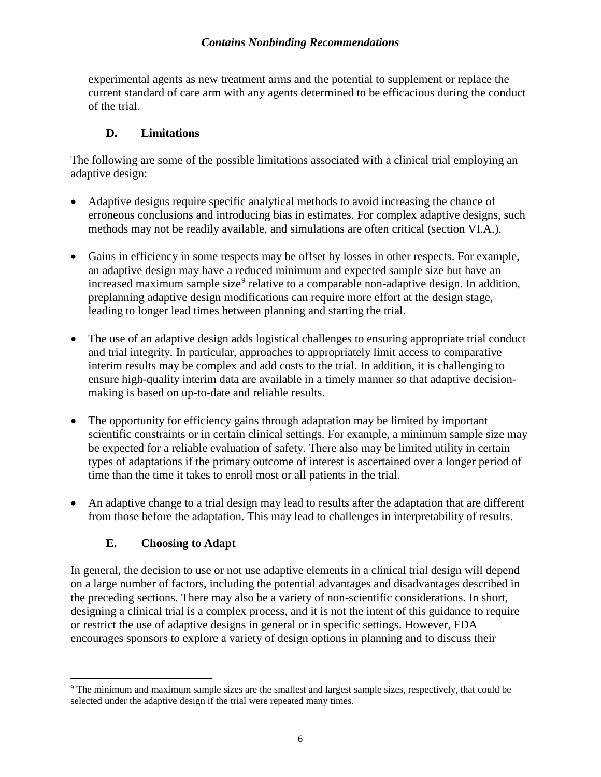experimental agents as new treatment arms and the potential to supplement or replace the current standard of care arm with any agents determined to be efficacious during the conduct of the trial.

## **D. Limitations**

The following are some of the possible limitations associated with a clinical trial employing an adaptive design:

- Adaptive designs require specific analytical methods to avoid increasing the chance of erroneous conclusions and introducing bias in estimates. For complex adaptive designs, such methods may not be readily available, and simulations are often critical (section VI.A.).
- Gains in efficiency in some respects may be offset by losses in other respects. For example, an adaptive design may have a reduced minimum and expected sample size but have an increased maximum sample size<sup>[9](#page-9-0)</sup> relative to a comparable non-adaptive design. In addition, preplanning adaptive design modifications can require more effort at the design stage, leading to longer lead times between planning and starting the trial.
- The use of an adaptive design adds logistical challenges to ensuring appropriate trial conduct and trial integrity. In particular, approaches to appropriately limit access to comparative interim results may be complex and add costs to the trial. In addition, it is challenging to ensure high-quality interim data are available in a timely manner so that adaptive decisionmaking is based on up-to-date and reliable results.
- The opportunity for efficiency gains through adaptation may be limited by important scientific constraints or in certain clinical settings. For example, a minimum sample size may be expected for a reliable evaluation of safety. There also may be limited utility in certain types of adaptations if the primary outcome of interest is ascertained over a longer period of time than the time it takes to enroll most or all patients in the trial.
- An adaptive change to a trial design may lead to results after the adaptation that are different from those before the adaptation. This may lead to challenges in interpretability of results.

# **E. Choosing to Adapt**

In general, the decision to use or not use adaptive elements in a clinical trial design will depend on a large number of factors, including the potential advantages and disadvantages described in the preceding sections. There may also be a variety of non-scientific considerations. In short, designing a clinical trial is a complex process, and it is not the intent of this guidance to require or restrict the use of adaptive designs in general or in specific settings. However, FDA encourages sponsors to explore a variety of design options in planning and to discuss their

<span id="page-9-0"></span><sup>&</sup>lt;sup>9</sup> The minimum and maximum sample sizes are the smallest and largest sample sizes, respectively, that could be selected under the adaptive design if the trial were repeated many times.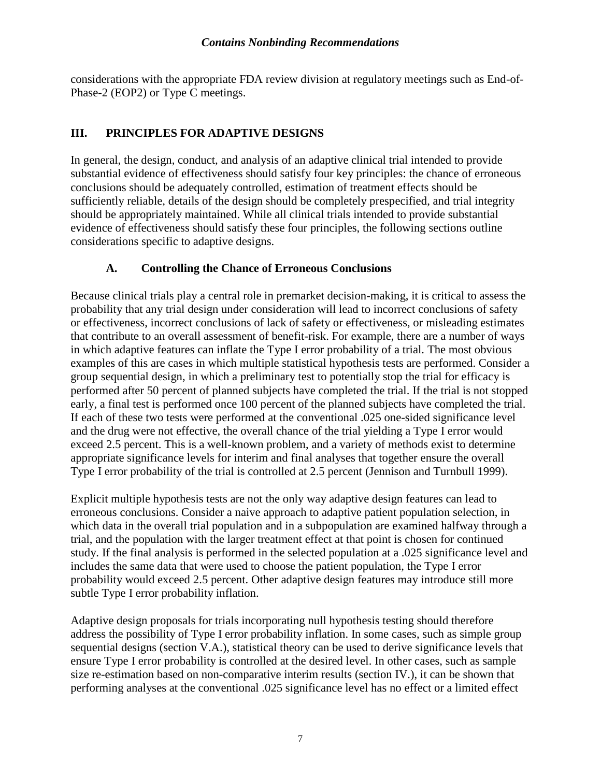considerations with the appropriate FDA review division at regulatory meetings such as End-of-Phase-2 (EOP2) or Type C meetings.

## **III. PRINCIPLES FOR ADAPTIVE DESIGNS**

In general, the design, conduct, and analysis of an adaptive clinical trial intended to provide substantial evidence of effectiveness should satisfy four key principles: the chance of erroneous conclusions should be adequately controlled, estimation of treatment effects should be sufficiently reliable, details of the design should be completely prespecified, and trial integrity should be appropriately maintained. While all clinical trials intended to provide substantial evidence of effectiveness should satisfy these four principles, the following sections outline considerations specific to adaptive designs.

## **A. Controlling the Chance of Erroneous Conclusions**

Because clinical trials play a central role in premarket decision-making, it is critical to assess the probability that any trial design under consideration will lead to incorrect conclusions of safety or effectiveness, incorrect conclusions of lack of safety or effectiveness, or misleading estimates that contribute to an overall assessment of benefit-risk. For example, there are a number of ways in which adaptive features can inflate the Type I error probability of a trial. The most obvious examples of this are cases in which multiple statistical hypothesis tests are performed. Consider a group sequential design, in which a preliminary test to potentially stop the trial for efficacy is performed after 50 percent of planned subjects have completed the trial. If the trial is not stopped early, a final test is performed once 100 percent of the planned subjects have completed the trial. If each of these two tests were performed at the conventional .025 one-sided significance level and the drug were not effective, the overall chance of the trial yielding a Type I error would exceed 2.5 percent. This is a well-known problem, and a variety of methods exist to determine appropriate significance levels for interim and final analyses that together ensure the overall Type I error probability of the trial is controlled at 2.5 percent (Jennison and Turnbull 1999).

Explicit multiple hypothesis tests are not the only way adaptive design features can lead to erroneous conclusions. Consider a naive approach to adaptive patient population selection, in which data in the overall trial population and in a subpopulation are examined halfway through a trial, and the population with the larger treatment effect at that point is chosen for continued study. If the final analysis is performed in the selected population at a .025 significance level and includes the same data that were used to choose the patient population, the Type I error probability would exceed 2.5 percent. Other adaptive design features may introduce still more subtle Type I error probability inflation.

Adaptive design proposals for trials incorporating null hypothesis testing should therefore address the possibility of Type I error probability inflation. In some cases, such as simple group sequential designs (section V.A.), statistical theory can be used to derive significance levels that ensure Type I error probability is controlled at the desired level. In other cases, such as sample size re-estimation based on non-comparative interim results (section IV.), it can be shown that performing analyses at the conventional .025 significance level has no effect or a limited effect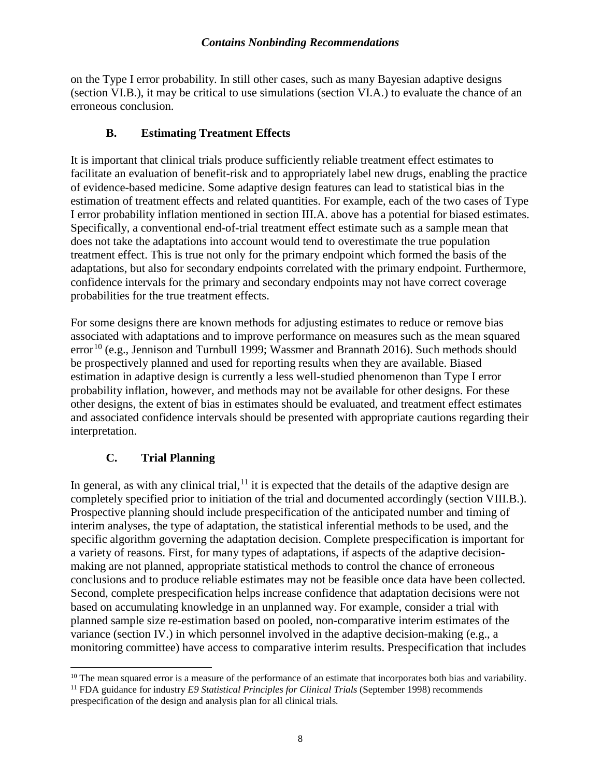on the Type I error probability. In still other cases, such as many Bayesian adaptive designs (section VI.B.), it may be critical to use simulations (section VI.A.) to evaluate the chance of an erroneous conclusion.

#### **B. Estimating Treatment Effects**

It is important that clinical trials produce sufficiently reliable treatment effect estimates to facilitate an evaluation of benefit-risk and to appropriately label new drugs, enabling the practice of evidence-based medicine. Some adaptive design features can lead to statistical bias in the estimation of treatment effects and related quantities. For example, each of the two cases of Type I error probability inflation mentioned in section III.A. above has a potential for biased estimates. Specifically, a conventional end-of-trial treatment effect estimate such as a sample mean that does not take the adaptations into account would tend to overestimate the true population treatment effect. This is true not only for the primary endpoint which formed the basis of the adaptations, but also for secondary endpoints correlated with the primary endpoint. Furthermore, confidence intervals for the primary and secondary endpoints may not have correct coverage probabilities for the true treatment effects.

For some designs there are known methods for adjusting estimates to reduce or remove bias associated with adaptations and to improve performance on measures such as the mean squared error<sup>[10](#page-11-0)</sup> (e.g., Jennison and Turnbull 1999; Wassmer and Brannath 2016). Such methods should be prospectively planned and used for reporting results when they are available. Biased estimation in adaptive design is currently a less well-studied phenomenon than Type I error probability inflation, however, and methods may not be available for other designs. For these other designs, the extent of bias in estimates should be evaluated, and treatment effect estimates and associated confidence intervals should be presented with appropriate cautions regarding their interpretation.

## **C. Trial Planning**

In general, as with any clinical trial, $<sup>11</sup>$  $<sup>11</sup>$  $<sup>11</sup>$  it is expected that the details of the adaptive design are</sup> completely specified prior to initiation of the trial and documented accordingly (section VIII.B.). Prospective planning should include prespecification of the anticipated number and timing of interim analyses, the type of adaptation, the statistical inferential methods to be used, and the specific algorithm governing the adaptation decision. Complete prespecification is important for a variety of reasons. First, for many types of adaptations, if aspects of the adaptive decisionmaking are not planned, appropriate statistical methods to control the chance of erroneous conclusions and to produce reliable estimates may not be feasible once data have been collected. Second, complete prespecification helps increase confidence that adaptation decisions were not based on accumulating knowledge in an unplanned way. For example, consider a trial with planned sample size re-estimation based on pooled, non-comparative interim estimates of the variance (section IV.) in which personnel involved in the adaptive decision-making (e.g., a monitoring committee) have access to comparative interim results. Prespecification that includes

<span id="page-11-1"></span><span id="page-11-0"></span> $10$  The mean squared error is a measure of the performance of an estimate that incorporates both bias and variability. <sup>11</sup> FDA guidance for industry *E9 Statistical Principles for Clinical Trials* (September 1998) recommends

prespecification of the design and analysis plan for all clinical trials*.*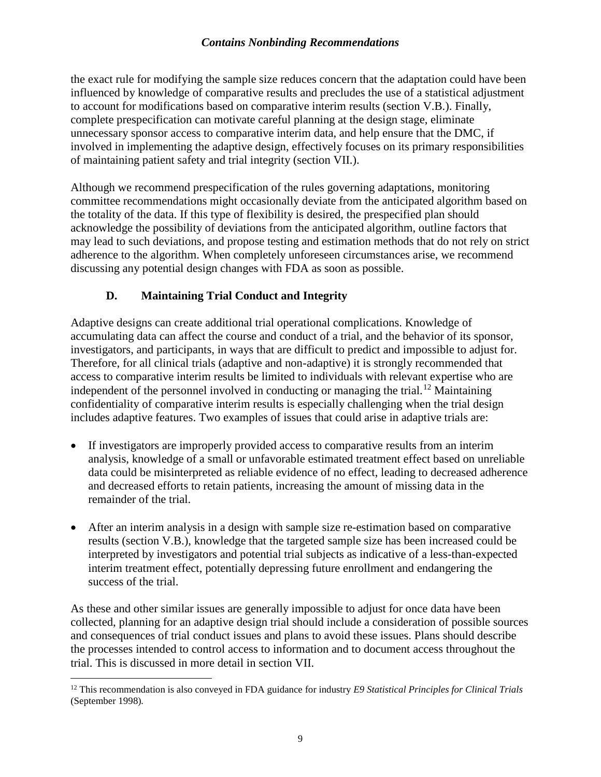the exact rule for modifying the sample size reduces concern that the adaptation could have been influenced by knowledge of comparative results and precludes the use of a statistical adjustment to account for modifications based on comparative interim results (section V.B.). Finally, complete prespecification can motivate careful planning at the design stage, eliminate unnecessary sponsor access to comparative interim data, and help ensure that the DMC, if involved in implementing the adaptive design, effectively focuses on its primary responsibilities of maintaining patient safety and trial integrity (section VII.).

Although we recommend prespecification of the rules governing adaptations, monitoring committee recommendations might occasionally deviate from the anticipated algorithm based on the totality of the data. If this type of flexibility is desired, the prespecified plan should acknowledge the possibility of deviations from the anticipated algorithm, outline factors that may lead to such deviations, and propose testing and estimation methods that do not rely on strict adherence to the algorithm. When completely unforeseen circumstances arise, we recommend discussing any potential design changes with FDA as soon as possible.

# **D. Maintaining Trial Conduct and Integrity**

Adaptive designs can create additional trial operational complications. Knowledge of accumulating data can affect the course and conduct of a trial, and the behavior of its sponsor, investigators, and participants, in ways that are difficult to predict and impossible to adjust for. Therefore, for all clinical trials (adaptive and non-adaptive) it is strongly recommended that access to comparative interim results be limited to individuals with relevant expertise who are independent of the personnel involved in conducting or managing the trial.<sup>[12](#page-12-0)</sup> Maintaining confidentiality of comparative interim results is especially challenging when the trial design includes adaptive features. Two examples of issues that could arise in adaptive trials are:

- If investigators are improperly provided access to comparative results from an interim analysis, knowledge of a small or unfavorable estimated treatment effect based on unreliable data could be misinterpreted as reliable evidence of no effect, leading to decreased adherence and decreased efforts to retain patients, increasing the amount of missing data in the remainder of the trial.
- After an interim analysis in a design with sample size re-estimation based on comparative results (section V.B.), knowledge that the targeted sample size has been increased could be interpreted by investigators and potential trial subjects as indicative of a less-than-expected interim treatment effect, potentially depressing future enrollment and endangering the success of the trial.

As these and other similar issues are generally impossible to adjust for once data have been collected, planning for an adaptive design trial should include a consideration of possible sources and consequences of trial conduct issues and plans to avoid these issues. Plans should describe the processes intended to control access to information and to document access throughout the trial. This is discussed in more detail in section VII.

<span id="page-12-0"></span><sup>&</sup>lt;sup>12</sup> This recommendation is also conveyed in FDA guidance for industry *E9 Statistical Principles for Clinical Trials* (September 1998)*.*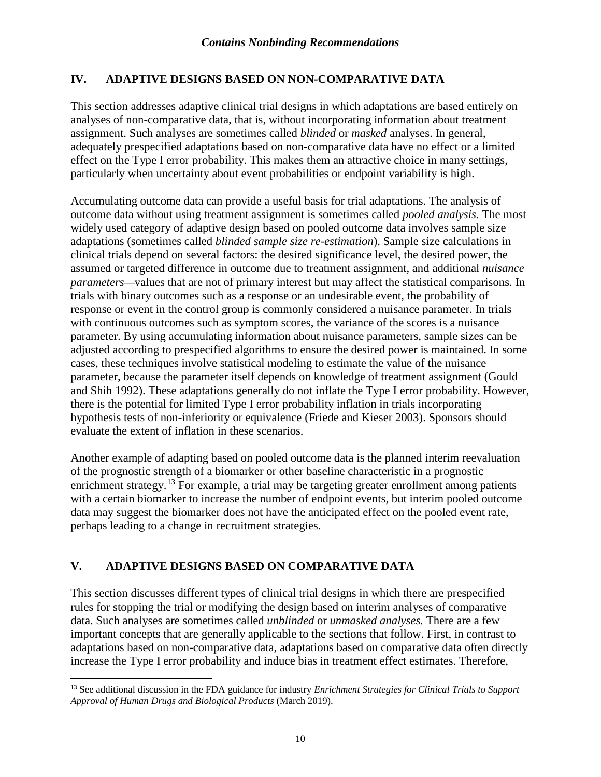# **IV. ADAPTIVE DESIGNS BASED ON NON-COMPARATIVE DATA**

This section addresses adaptive clinical trial designs in which adaptations are based entirely on analyses of non-comparative data, that is, without incorporating information about treatment assignment. Such analyses are sometimes called *blinded* or *masked* analyses. In general, adequately prespecified adaptations based on non-comparative data have no effect or a limited effect on the Type I error probability. This makes them an attractive choice in many settings, particularly when uncertainty about event probabilities or endpoint variability is high.

Accumulating outcome data can provide a useful basis for trial adaptations. The analysis of outcome data without using treatment assignment is sometimes called *pooled analysis*. The most widely used category of adaptive design based on pooled outcome data involves sample size adaptations (sometimes called *blinded sample size re-estimation*). Sample size calculations in clinical trials depend on several factors: the desired significance level, the desired power, the assumed or targeted difference in outcome due to treatment assignment, and additional *nuisance parameters—*values that are not of primary interest but may affect the statistical comparisons. In trials with binary outcomes such as a response or an undesirable event, the probability of response or event in the control group is commonly considered a nuisance parameter. In trials with continuous outcomes such as symptom scores, the variance of the scores is a nuisance parameter. By using accumulating information about nuisance parameters, sample sizes can be adjusted according to prespecified algorithms to ensure the desired power is maintained. In some cases, these techniques involve statistical modeling to estimate the value of the nuisance parameter, because the parameter itself depends on knowledge of treatment assignment (Gould and Shih 1992). These adaptations generally do not inflate the Type I error probability. However, there is the potential for limited Type I error probability inflation in trials incorporating hypothesis tests of non-inferiority or equivalence (Friede and Kieser 2003). Sponsors should evaluate the extent of inflation in these scenarios.

Another example of adapting based on pooled outcome data is the planned interim reevaluation of the prognostic strength of a biomarker or other baseline characteristic in a prognostic enrichment strategy.<sup>[13](#page-13-0)</sup> For example, a trial may be targeting greater enrollment among patients with a certain biomarker to increase the number of endpoint events, but interim pooled outcome data may suggest the biomarker does not have the anticipated effect on the pooled event rate, perhaps leading to a change in recruitment strategies.

# **V. ADAPTIVE DESIGNS BASED ON COMPARATIVE DATA**

This section discusses different types of clinical trial designs in which there are prespecified rules for stopping the trial or modifying the design based on interim analyses of comparative data. Such analyses are sometimes called *unblinded* or *unmasked analyses.* There are a few important concepts that are generally applicable to the sections that follow. First, in contrast to adaptations based on non-comparative data, adaptations based on comparative data often directly increase the Type I error probability and induce bias in treatment effect estimates. Therefore,

<span id="page-13-0"></span> <sup>13</sup> See additional discussion in the FDA guidance for industry *Enrichment Strategies for Clinical Trials to Support Approval of Human Drugs and Biological Products* (March 2019).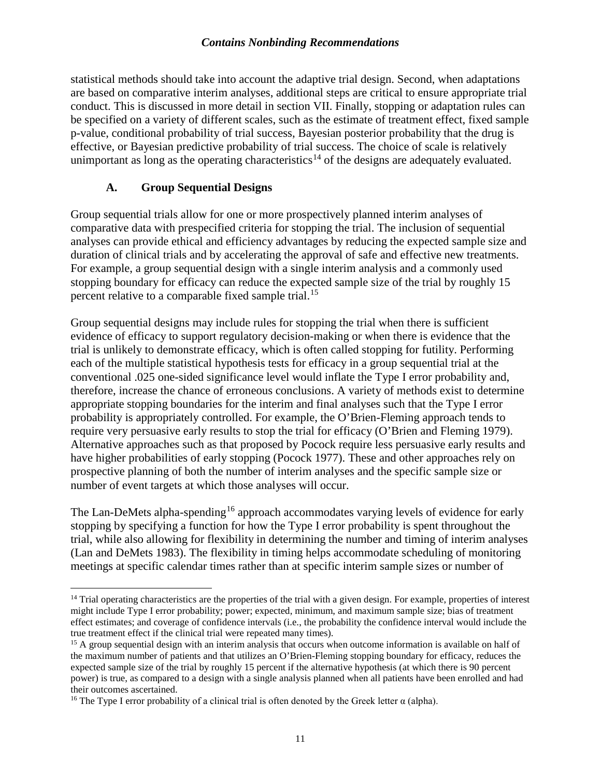statistical methods should take into account the adaptive trial design. Second, when adaptations are based on comparative interim analyses, additional steps are critical to ensure appropriate trial conduct. This is discussed in more detail in section VII. Finally, stopping or adaptation rules can be specified on a variety of different scales, such as the estimate of treatment effect, fixed sample p-value, conditional probability of trial success, Bayesian posterior probability that the drug is effective, or Bayesian predictive probability of trial success. The choice of scale is relatively unimportant as long as the operating characteristics<sup>[14](#page-14-0)</sup> of the designs are adequately evaluated.

## **A. Group Sequential Designs**

Group sequential trials allow for one or more prospectively planned interim analyses of comparative data with prespecified criteria for stopping the trial. The inclusion of sequential analyses can provide ethical and efficiency advantages by reducing the expected sample size and duration of clinical trials and by accelerating the approval of safe and effective new treatments. For example, a group sequential design with a single interim analysis and a commonly used stopping boundary for efficacy can reduce the expected sample size of the trial by roughly 15 percent relative to a comparable fixed sample trial.<sup>[15](#page-14-1)</sup>

Group sequential designs may include rules for stopping the trial when there is sufficient evidence of efficacy to support regulatory decision-making or when there is evidence that the trial is unlikely to demonstrate efficacy, which is often called stopping for futility. Performing each of the multiple statistical hypothesis tests for efficacy in a group sequential trial at the conventional .025 one-sided significance level would inflate the Type I error probability and, therefore, increase the chance of erroneous conclusions. A variety of methods exist to determine appropriate stopping boundaries for the interim and final analyses such that the Type I error probability is appropriately controlled. For example, the O'Brien-Fleming approach tends to require very persuasive early results to stop the trial for efficacy (O'Brien and Fleming 1979). Alternative approaches such as that proposed by Pocock require less persuasive early results and have higher probabilities of early stopping (Pocock 1977). These and other approaches rely on prospective planning of both the number of interim analyses and the specific sample size or number of event targets at which those analyses will occur.

The Lan-DeMets alpha-spending<sup>[16](#page-14-2)</sup> approach accommodates varying levels of evidence for early stopping by specifying a function for how the Type I error probability is spent throughout the trial, while also allowing for flexibility in determining the number and timing of interim analyses (Lan and DeMets 1983). The flexibility in timing helps accommodate scheduling of monitoring meetings at specific calendar times rather than at specific interim sample sizes or number of

<span id="page-14-0"></span><sup>&</sup>lt;sup>14</sup> Trial operating characteristics are the properties of the trial with a given design. For example, properties of interest might include Type I error probability; power; expected, minimum, and maximum sample size; bias of treatment effect estimates; and coverage of confidence intervals (i.e., the probability the confidence interval would include the true treatment effect if the clinical trial were repeated many times).

<span id="page-14-1"></span><sup>&</sup>lt;sup>15</sup> A group sequential design with an interim analysis that occurs when outcome information is available on half of the maximum number of patients and that utilizes an O'Brien-Fleming stopping boundary for efficacy, reduces the expected sample size of the trial by roughly 15 percent if the alternative hypothesis (at which there is 90 percent power) is true, as compared to a design with a single analysis planned when all patients have been enrolled and had their outcomes ascertained.

<span id="page-14-2"></span><sup>&</sup>lt;sup>16</sup> The Type I error probability of a clinical trial is often denoted by the Greek letter  $\alpha$  (alpha).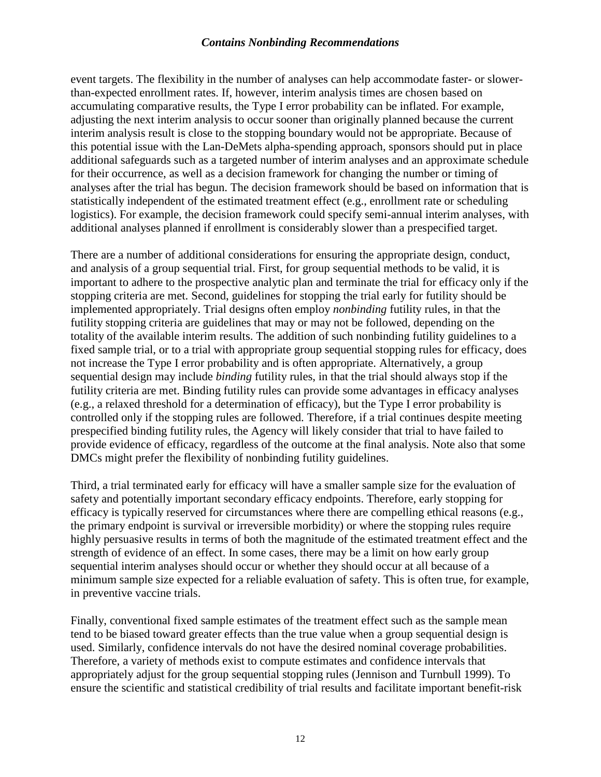event targets. The flexibility in the number of analyses can help accommodate faster- or slowerthan-expected enrollment rates. If, however, interim analysis times are chosen based on accumulating comparative results, the Type I error probability can be inflated. For example, adjusting the next interim analysis to occur sooner than originally planned because the current interim analysis result is close to the stopping boundary would not be appropriate. Because of this potential issue with the Lan-DeMets alpha-spending approach, sponsors should put in place additional safeguards such as a targeted number of interim analyses and an approximate schedule for their occurrence, as well as a decision framework for changing the number or timing of analyses after the trial has begun. The decision framework should be based on information that is statistically independent of the estimated treatment effect (e.g., enrollment rate or scheduling logistics). For example, the decision framework could specify semi-annual interim analyses, with additional analyses planned if enrollment is considerably slower than a prespecified target.

There are a number of additional considerations for ensuring the appropriate design, conduct, and analysis of a group sequential trial. First, for group sequential methods to be valid, it is important to adhere to the prospective analytic plan and terminate the trial for efficacy only if the stopping criteria are met. Second, guidelines for stopping the trial early for futility should be implemented appropriately. Trial designs often employ *nonbinding* futility rules, in that the futility stopping criteria are guidelines that may or may not be followed, depending on the totality of the available interim results. The addition of such nonbinding futility guidelines to a fixed sample trial, or to a trial with appropriate group sequential stopping rules for efficacy, does not increase the Type I error probability and is often appropriate. Alternatively, a group sequential design may include *binding* futility rules, in that the trial should always stop if the futility criteria are met. Binding futility rules can provide some advantages in efficacy analyses (e.g., a relaxed threshold for a determination of efficacy), but the Type I error probability is controlled only if the stopping rules are followed. Therefore, if a trial continues despite meeting prespecified binding futility rules, the Agency will likely consider that trial to have failed to provide evidence of efficacy, regardless of the outcome at the final analysis. Note also that some DMCs might prefer the flexibility of nonbinding futility guidelines.

Third, a trial terminated early for efficacy will have a smaller sample size for the evaluation of safety and potentially important secondary efficacy endpoints. Therefore, early stopping for efficacy is typically reserved for circumstances where there are compelling ethical reasons (e.g., the primary endpoint is survival or irreversible morbidity) or where the stopping rules require highly persuasive results in terms of both the magnitude of the estimated treatment effect and the strength of evidence of an effect. In some cases, there may be a limit on how early group sequential interim analyses should occur or whether they should occur at all because of a minimum sample size expected for a reliable evaluation of safety. This is often true, for example, in preventive vaccine trials.

Finally, conventional fixed sample estimates of the treatment effect such as the sample mean tend to be biased toward greater effects than the true value when a group sequential design is used. Similarly, confidence intervals do not have the desired nominal coverage probabilities. Therefore, a variety of methods exist to compute estimates and confidence intervals that appropriately adjust for the group sequential stopping rules (Jennison and Turnbull 1999). To ensure the scientific and statistical credibility of trial results and facilitate important benefit-risk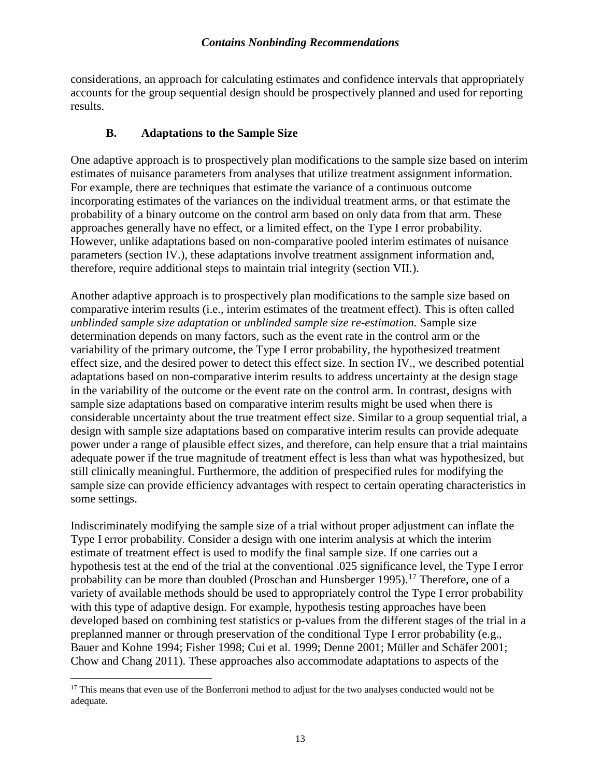considerations, an approach for calculating estimates and confidence intervals that appropriately accounts for the group sequential design should be prospectively planned and used for reporting results.

#### **B. Adaptations to the Sample Size**

One adaptive approach is to prospectively plan modifications to the sample size based on interim estimates of nuisance parameters from analyses that utilize treatment assignment information. For example, there are techniques that estimate the variance of a continuous outcome incorporating estimates of the variances on the individual treatment arms, or that estimate the probability of a binary outcome on the control arm based on only data from that arm. These approaches generally have no effect, or a limited effect, on the Type I error probability. However, unlike adaptations based on non-comparative pooled interim estimates of nuisance parameters (section IV.), these adaptations involve treatment assignment information and, therefore, require additional steps to maintain trial integrity (section VII.).

Another adaptive approach is to prospectively plan modifications to the sample size based on comparative interim results (i.e., interim estimates of the treatment effect). This is often called *unblinded sample size adaptation* or *unblinded sample size re-estimation.* Sample size determination depends on many factors, such as the event rate in the control arm or the variability of the primary outcome, the Type I error probability, the hypothesized treatment effect size, and the desired power to detect this effect size. In section IV., we described potential adaptations based on non-comparative interim results to address uncertainty at the design stage in the variability of the outcome or the event rate on the control arm. In contrast, designs with sample size adaptations based on comparative interim results might be used when there is considerable uncertainty about the true treatment effect size. Similar to a group sequential trial, a design with sample size adaptations based on comparative interim results can provide adequate power under a range of plausible effect sizes, and therefore, can help ensure that a trial maintains adequate power if the true magnitude of treatment effect is less than what was hypothesized, but still clinically meaningful. Furthermore, the addition of prespecified rules for modifying the sample size can provide efficiency advantages with respect to certain operating characteristics in some settings.

Indiscriminately modifying the sample size of a trial without proper adjustment can inflate the Type I error probability. Consider a design with one interim analysis at which the interim estimate of treatment effect is used to modify the final sample size. If one carries out a hypothesis test at the end of the trial at the conventional .025 significance level, the Type I error probability can be more than doubled (Proschan and Hunsberger 1995).<sup>[17](#page-16-0)</sup> Therefore, one of a variety of available methods should be used to appropriately control the Type I error probability with this type of adaptive design. For example, hypothesis testing approaches have been developed based on combining test statistics or p-values from the different stages of the trial in a preplanned manner or through preservation of the conditional Type I error probability (e.g., Bauer and Kohne 1994; Fisher 1998; Cui et al. 1999; Denne 2001; Müller and Schäfer 2001; Chow and Chang 2011). These approaches also accommodate adaptations to aspects of the

<span id="page-16-0"></span><sup>&</sup>lt;sup>17</sup> This means that even use of the Bonferroni method to adjust for the two analyses conducted would not be adequate.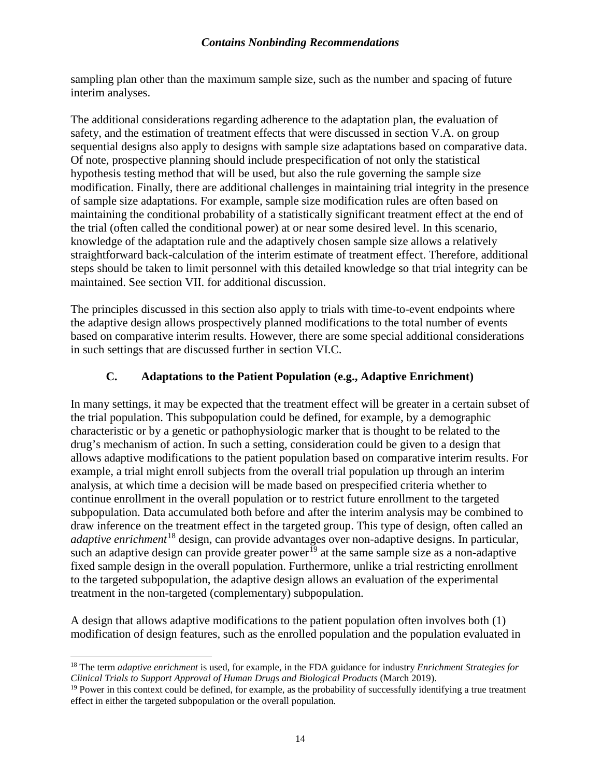sampling plan other than the maximum sample size, such as the number and spacing of future interim analyses.

The additional considerations regarding adherence to the adaptation plan, the evaluation of safety, and the estimation of treatment effects that were discussed in section V.A. on group sequential designs also apply to designs with sample size adaptations based on comparative data. Of note, prospective planning should include prespecification of not only the statistical hypothesis testing method that will be used, but also the rule governing the sample size modification. Finally, there are additional challenges in maintaining trial integrity in the presence of sample size adaptations. For example, sample size modification rules are often based on maintaining the conditional probability of a statistically significant treatment effect at the end of the trial (often called the conditional power) at or near some desired level. In this scenario, knowledge of the adaptation rule and the adaptively chosen sample size allows a relatively straightforward back-calculation of the interim estimate of treatment effect. Therefore, additional steps should be taken to limit personnel with this detailed knowledge so that trial integrity can be maintained. See section VII. for additional discussion.

The principles discussed in this section also apply to trials with time-to-event endpoints where the adaptive design allows prospectively planned modifications to the total number of events based on comparative interim results. However, there are some special additional considerations in such settings that are discussed further in section VI.C.

## **C. Adaptations to the Patient Population (e.g., Adaptive Enrichment)**

In many settings, it may be expected that the treatment effect will be greater in a certain subset of the trial population. This subpopulation could be defined, for example, by a demographic characteristic or by a genetic or pathophysiologic marker that is thought to be related to the drug's mechanism of action. In such a setting, consideration could be given to a design that allows adaptive modifications to the patient population based on comparative interim results. For example, a trial might enroll subjects from the overall trial population up through an interim analysis, at which time a decision will be made based on prespecified criteria whether to continue enrollment in the overall population or to restrict future enrollment to the targeted subpopulation. Data accumulated both before and after the interim analysis may be combined to draw inference on the treatment effect in the targeted group. This type of design, often called an *adaptive enrichment*[18](#page-17-0) design, can provide advantages over non-adaptive designs. In particular, such an adaptive design can provide greater power<sup>[19](#page-17-1)</sup> at the same sample size as a non-adaptive fixed sample design in the overall population. Furthermore, unlike a trial restricting enrollment to the targeted subpopulation, the adaptive design allows an evaluation of the experimental treatment in the non-targeted (complementary) subpopulation.

A design that allows adaptive modifications to the patient population often involves both (1) modification of design features, such as the enrolled population and the population evaluated in

<span id="page-17-0"></span> <sup>18</sup> The term *adaptive enrichment* is used, for example, in the FDA guidance for industry *Enrichment Strategies for Clinical Trials to Support Approval of Human Drugs and Biological Products* (March 2019).

<span id="page-17-1"></span> $19$  Power in this context could be defined, for example, as the probability of successfully identifying a true treatment effect in either the targeted subpopulation or the overall population.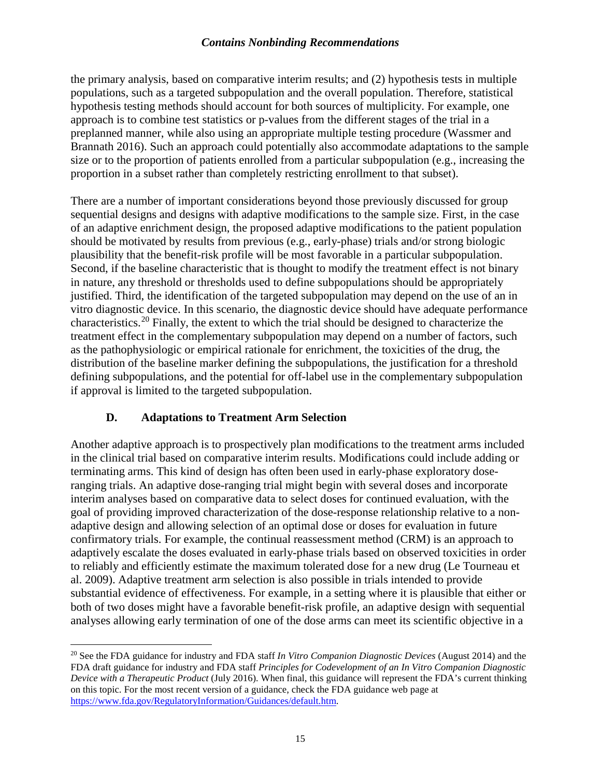the primary analysis, based on comparative interim results; and (2) hypothesis tests in multiple populations, such as a targeted subpopulation and the overall population. Therefore, statistical hypothesis testing methods should account for both sources of multiplicity. For example, one approach is to combine test statistics or p-values from the different stages of the trial in a preplanned manner, while also using an appropriate multiple testing procedure (Wassmer and Brannath 2016). Such an approach could potentially also accommodate adaptations to the sample size or to the proportion of patients enrolled from a particular subpopulation (e.g., increasing the proportion in a subset rather than completely restricting enrollment to that subset).

There are a number of important considerations beyond those previously discussed for group sequential designs and designs with adaptive modifications to the sample size. First, in the case of an adaptive enrichment design, the proposed adaptive modifications to the patient population should be motivated by results from previous (e.g., early-phase) trials and/or strong biologic plausibility that the benefit-risk profile will be most favorable in a particular subpopulation. Second, if the baseline characteristic that is thought to modify the treatment effect is not binary in nature, any threshold or thresholds used to define subpopulations should be appropriately justified. Third, the identification of the targeted subpopulation may depend on the use of an in vitro diagnostic device. In this scenario, the diagnostic device should have adequate performance characteristics.[20](#page-18-0) Finally, the extent to which the trial should be designed to characterize the treatment effect in the complementary subpopulation may depend on a number of factors, such as the pathophysiologic or empirical rationale for enrichment, the toxicities of the drug, the distribution of the baseline marker defining the subpopulations, the justification for a threshold defining subpopulations, and the potential for off-label use in the complementary subpopulation if approval is limited to the targeted subpopulation.

# **D. Adaptations to Treatment Arm Selection**

Another adaptive approach is to prospectively plan modifications to the treatment arms included in the clinical trial based on comparative interim results. Modifications could include adding or terminating arms. This kind of design has often been used in early-phase exploratory doseranging trials. An adaptive dose-ranging trial might begin with several doses and incorporate interim analyses based on comparative data to select doses for continued evaluation, with the goal of providing improved characterization of the dose-response relationship relative to a nonadaptive design and allowing selection of an optimal dose or doses for evaluation in future confirmatory trials. For example, the continual reassessment method (CRM) is an approach to adaptively escalate the doses evaluated in early-phase trials based on observed toxicities in order to reliably and efficiently estimate the maximum tolerated dose for a new drug (Le Tourneau et al. 2009). Adaptive treatment arm selection is also possible in trials intended to provide substantial evidence of effectiveness. For example, in a setting where it is plausible that either or both of two doses might have a favorable benefit-risk profile, an adaptive design with sequential analyses allowing early termination of one of the dose arms can meet its scientific objective in a

<span id="page-18-0"></span> <sup>20</sup> See the FDA guidance for industry and FDA staff *In Vitro Companion Diagnostic Devices* (August 2014) and the FDA draft guidance for industry and FDA staff *Principles for Codevelopment of an In Vitro Companion Diagnostic Device with a Therapeutic Product* (July 2016)*.* When final, this guidance will represent the FDA's current thinking on this topic. For the most recent version of a guidance, check the FDA guidance web page at [https://www.fda.gov/RegulatoryInformation/Guidances/default.htm.](https://www.fda.gov/RegulatoryInformation/Guidances/default.htm)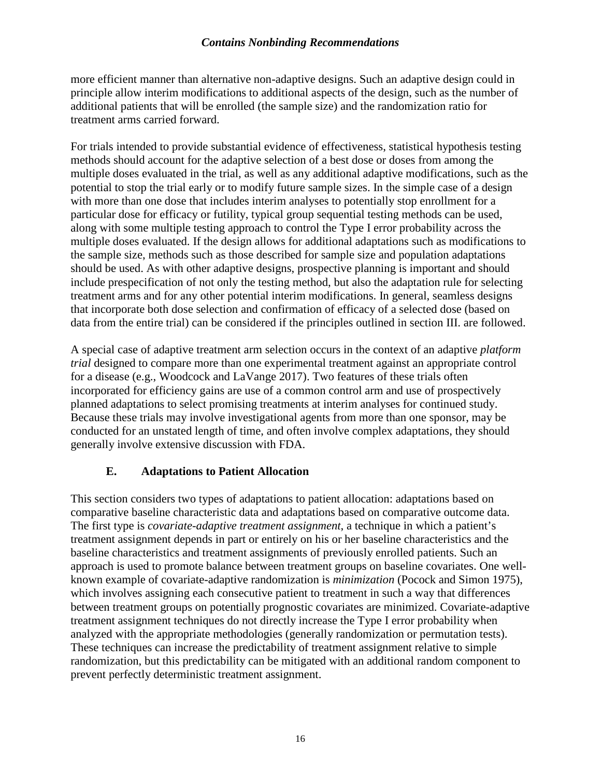more efficient manner than alternative non-adaptive designs. Such an adaptive design could in principle allow interim modifications to additional aspects of the design, such as the number of additional patients that will be enrolled (the sample size) and the randomization ratio for treatment arms carried forward.

For trials intended to provide substantial evidence of effectiveness, statistical hypothesis testing methods should account for the adaptive selection of a best dose or doses from among the multiple doses evaluated in the trial, as well as any additional adaptive modifications, such as the potential to stop the trial early or to modify future sample sizes. In the simple case of a design with more than one dose that includes interim analyses to potentially stop enrollment for a particular dose for efficacy or futility, typical group sequential testing methods can be used, along with some multiple testing approach to control the Type I error probability across the multiple doses evaluated. If the design allows for additional adaptations such as modifications to the sample size, methods such as those described for sample size and population adaptations should be used. As with other adaptive designs, prospective planning is important and should include prespecification of not only the testing method, but also the adaptation rule for selecting treatment arms and for any other potential interim modifications. In general, seamless designs that incorporate both dose selection and confirmation of efficacy of a selected dose (based on data from the entire trial) can be considered if the principles outlined in section III. are followed.

A special case of adaptive treatment arm selection occurs in the context of an adaptive *platform trial* designed to compare more than one experimental treatment against an appropriate control for a disease (e.g., Woodcock and LaVange 2017). Two features of these trials often incorporated for efficiency gains are use of a common control arm and use of prospectively planned adaptations to select promising treatments at interim analyses for continued study. Because these trials may involve investigational agents from more than one sponsor, may be conducted for an unstated length of time, and often involve complex adaptations, they should generally involve extensive discussion with FDA.

## **E. Adaptations to Patient Allocation**

This section considers two types of adaptations to patient allocation: adaptations based on comparative baseline characteristic data and adaptations based on comparative outcome data. The first type is *covariate-adaptive treatment assignment*, a technique in which a patient's treatment assignment depends in part or entirely on his or her baseline characteristics and the baseline characteristics and treatment assignments of previously enrolled patients. Such an approach is used to promote balance between treatment groups on baseline covariates. One wellknown example of covariate-adaptive randomization is *minimization* (Pocock and Simon 1975), which involves assigning each consecutive patient to treatment in such a way that differences between treatment groups on potentially prognostic covariates are minimized. Covariate-adaptive treatment assignment techniques do not directly increase the Type I error probability when analyzed with the appropriate methodologies (generally randomization or permutation tests). These techniques can increase the predictability of treatment assignment relative to simple randomization, but this predictability can be mitigated with an additional random component to prevent perfectly deterministic treatment assignment.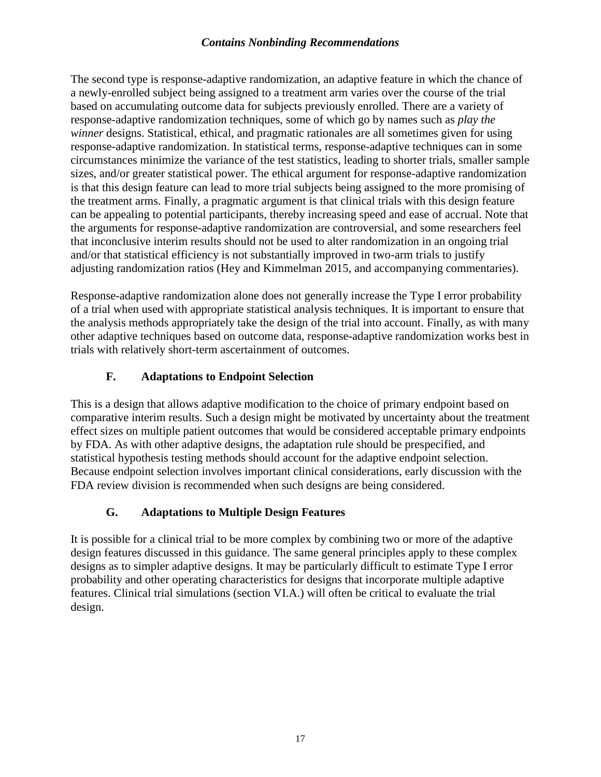The second type is response-adaptive randomization, an adaptive feature in which the chance of a newly-enrolled subject being assigned to a treatment arm varies over the course of the trial based on accumulating outcome data for subjects previously enrolled. There are a variety of response-adaptive randomization techniques, some of which go by names such as *play the winner* designs. Statistical, ethical, and pragmatic rationales are all sometimes given for using response-adaptive randomization. In statistical terms, response-adaptive techniques can in some circumstances minimize the variance of the test statistics, leading to shorter trials, smaller sample sizes, and/or greater statistical power. The ethical argument for response-adaptive randomization is that this design feature can lead to more trial subjects being assigned to the more promising of the treatment arms. Finally, a pragmatic argument is that clinical trials with this design feature can be appealing to potential participants, thereby increasing speed and ease of accrual. Note that the arguments for response-adaptive randomization are controversial, and some researchers feel that inconclusive interim results should not be used to alter randomization in an ongoing trial and/or that statistical efficiency is not substantially improved in two-arm trials to justify adjusting randomization ratios (Hey and Kimmelman 2015, and accompanying commentaries).

Response-adaptive randomization alone does not generally increase the Type I error probability of a trial when used with appropriate statistical analysis techniques. It is important to ensure that the analysis methods appropriately take the design of the trial into account. Finally, as with many other adaptive techniques based on outcome data, response-adaptive randomization works best in trials with relatively short-term ascertainment of outcomes.

# **F. Adaptations to Endpoint Selection**

This is a design that allows adaptive modification to the choice of primary endpoint based on comparative interim results. Such a design might be motivated by uncertainty about the treatment effect sizes on multiple patient outcomes that would be considered acceptable primary endpoints by FDA. As with other adaptive designs, the adaptation rule should be prespecified, and statistical hypothesis testing methods should account for the adaptive endpoint selection. Because endpoint selection involves important clinical considerations, early discussion with the FDA review division is recommended when such designs are being considered.

# **G. Adaptations to Multiple Design Features**

It is possible for a clinical trial to be more complex by combining two or more of the adaptive design features discussed in this guidance. The same general principles apply to these complex designs as to simpler adaptive designs. It may be particularly difficult to estimate Type I error probability and other operating characteristics for designs that incorporate multiple adaptive features. Clinical trial simulations (section VI.A.) will often be critical to evaluate the trial design.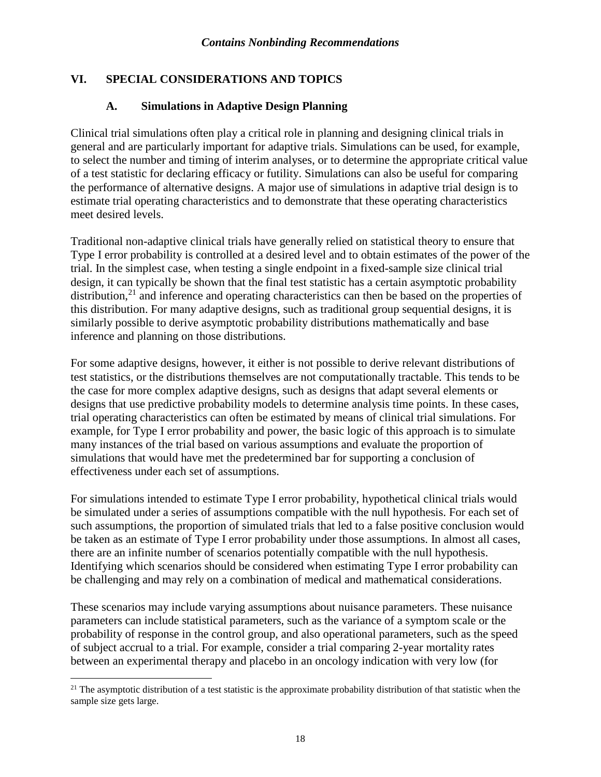# **VI. SPECIAL CONSIDERATIONS AND TOPICS**

#### **A. Simulations in Adaptive Design Planning**

Clinical trial simulations often play a critical role in planning and designing clinical trials in general and are particularly important for adaptive trials. Simulations can be used, for example, to select the number and timing of interim analyses, or to determine the appropriate critical value of a test statistic for declaring efficacy or futility. Simulations can also be useful for comparing the performance of alternative designs. A major use of simulations in adaptive trial design is to estimate trial operating characteristics and to demonstrate that these operating characteristics meet desired levels.

Traditional non-adaptive clinical trials have generally relied on statistical theory to ensure that Type I error probability is controlled at a desired level and to obtain estimates of the power of the trial. In the simplest case, when testing a single endpoint in a fixed-sample size clinical trial design, it can typically be shown that the final test statistic has a certain asymptotic probability distribution, $^{21}$  $^{21}$  $^{21}$  and inference and operating characteristics can then be based on the properties of this distribution. For many adaptive designs, such as traditional group sequential designs, it is similarly possible to derive asymptotic probability distributions mathematically and base inference and planning on those distributions.

For some adaptive designs, however, it either is not possible to derive relevant distributions of test statistics, or the distributions themselves are not computationally tractable. This tends to be the case for more complex adaptive designs, such as designs that adapt several elements or designs that use predictive probability models to determine analysis time points. In these cases, trial operating characteristics can often be estimated by means of clinical trial simulations. For example, for Type I error probability and power, the basic logic of this approach is to simulate many instances of the trial based on various assumptions and evaluate the proportion of simulations that would have met the predetermined bar for supporting a conclusion of effectiveness under each set of assumptions.

For simulations intended to estimate Type I error probability, hypothetical clinical trials would be simulated under a series of assumptions compatible with the null hypothesis. For each set of such assumptions, the proportion of simulated trials that led to a false positive conclusion would be taken as an estimate of Type I error probability under those assumptions. In almost all cases, there are an infinite number of scenarios potentially compatible with the null hypothesis. Identifying which scenarios should be considered when estimating Type I error probability can be challenging and may rely on a combination of medical and mathematical considerations.

These scenarios may include varying assumptions about nuisance parameters. These nuisance parameters can include statistical parameters, such as the variance of a symptom scale or the probability of response in the control group, and also operational parameters, such as the speed of subject accrual to a trial. For example, consider a trial comparing 2-year mortality rates between an experimental therapy and placebo in an oncology indication with very low (for

<span id="page-21-0"></span> $21$  The asymptotic distribution of a test statistic is the approximate probability distribution of that statistic when the sample size gets large.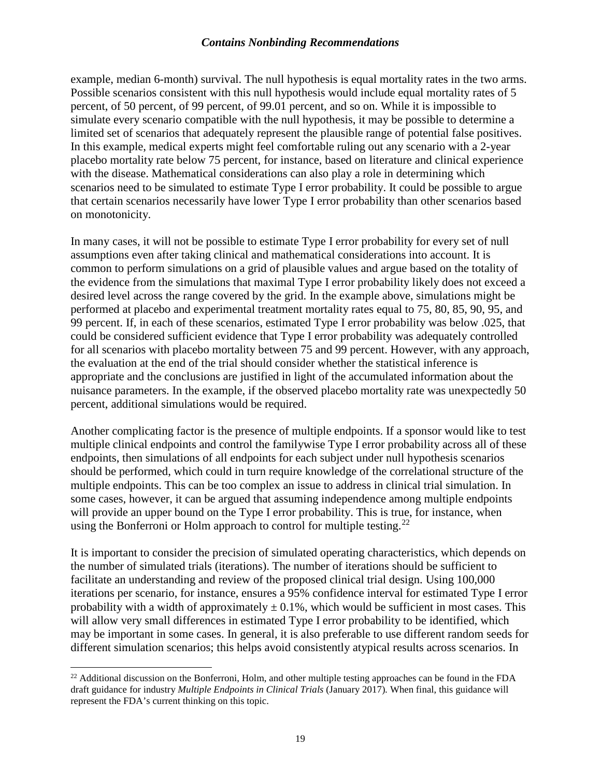example, median 6-month) survival. The null hypothesis is equal mortality rates in the two arms. Possible scenarios consistent with this null hypothesis would include equal mortality rates of 5 percent, of 50 percent, of 99 percent, of 99.01 percent, and so on. While it is impossible to simulate every scenario compatible with the null hypothesis, it may be possible to determine a limited set of scenarios that adequately represent the plausible range of potential false positives. In this example, medical experts might feel comfortable ruling out any scenario with a 2-year placebo mortality rate below 75 percent, for instance, based on literature and clinical experience with the disease. Mathematical considerations can also play a role in determining which scenarios need to be simulated to estimate Type I error probability. It could be possible to argue that certain scenarios necessarily have lower Type I error probability than other scenarios based on monotonicity.

In many cases, it will not be possible to estimate Type I error probability for every set of null assumptions even after taking clinical and mathematical considerations into account. It is common to perform simulations on a grid of plausible values and argue based on the totality of the evidence from the simulations that maximal Type I error probability likely does not exceed a desired level across the range covered by the grid. In the example above, simulations might be performed at placebo and experimental treatment mortality rates equal to 75, 80, 85, 90, 95, and 99 percent. If, in each of these scenarios, estimated Type I error probability was below .025, that could be considered sufficient evidence that Type I error probability was adequately controlled for all scenarios with placebo mortality between 75 and 99 percent. However, with any approach, the evaluation at the end of the trial should consider whether the statistical inference is appropriate and the conclusions are justified in light of the accumulated information about the nuisance parameters. In the example, if the observed placebo mortality rate was unexpectedly 50 percent, additional simulations would be required.

Another complicating factor is the presence of multiple endpoints. If a sponsor would like to test multiple clinical endpoints and control the familywise Type I error probability across all of these endpoints, then simulations of all endpoints for each subject under null hypothesis scenarios should be performed, which could in turn require knowledge of the correlational structure of the multiple endpoints. This can be too complex an issue to address in clinical trial simulation. In some cases, however, it can be argued that assuming independence among multiple endpoints will provide an upper bound on the Type I error probability. This is true, for instance, when using the Bonferroni or Holm approach to control for multiple testing.<sup>[22](#page-22-0)</sup>

It is important to consider the precision of simulated operating characteristics, which depends on the number of simulated trials (iterations). The number of iterations should be sufficient to facilitate an understanding and review of the proposed clinical trial design. Using 100,000 iterations per scenario, for instance, ensures a 95% confidence interval for estimated Type I error probability with a width of approximately  $\pm$  0.1%, which would be sufficient in most cases. This will allow very small differences in estimated Type I error probability to be identified, which may be important in some cases. In general, it is also preferable to use different random seeds for different simulation scenarios; this helps avoid consistently atypical results across scenarios. In

<span id="page-22-0"></span> $^{22}$  Additional discussion on the Bonferroni, Holm, and other multiple testing approaches can be found in the FDA draft guidance for industry *Multiple Endpoints in Clinical Trials* (January 2017)*.* When final, this guidance will represent the FDA's current thinking on this topic.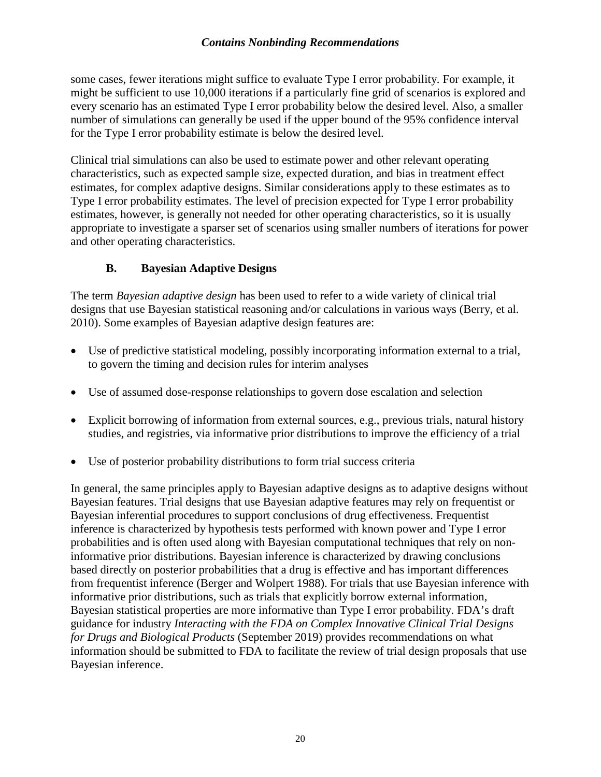some cases, fewer iterations might suffice to evaluate Type I error probability. For example, it might be sufficient to use 10,000 iterations if a particularly fine grid of scenarios is explored and every scenario has an estimated Type I error probability below the desired level. Also, a smaller number of simulations can generally be used if the upper bound of the 95% confidence interval for the Type I error probability estimate is below the desired level.

Clinical trial simulations can also be used to estimate power and other relevant operating characteristics, such as expected sample size, expected duration, and bias in treatment effect estimates, for complex adaptive designs. Similar considerations apply to these estimates as to Type I error probability estimates. The level of precision expected for Type I error probability estimates, however, is generally not needed for other operating characteristics, so it is usually appropriate to investigate a sparser set of scenarios using smaller numbers of iterations for power and other operating characteristics.

# **B. Bayesian Adaptive Designs**

The term *Bayesian adaptive design* has been used to refer to a wide variety of clinical trial designs that use Bayesian statistical reasoning and/or calculations in various ways (Berry, et al. 2010). Some examples of Bayesian adaptive design features are:

- Use of predictive statistical modeling, possibly incorporating information external to a trial, to govern the timing and decision rules for interim analyses
- Use of assumed dose-response relationships to govern dose escalation and selection
- Explicit borrowing of information from external sources, e.g., previous trials, natural history studies, and registries, via informative prior distributions to improve the efficiency of a trial
- Use of posterior probability distributions to form trial success criteria

In general, the same principles apply to Bayesian adaptive designs as to adaptive designs without Bayesian features. Trial designs that use Bayesian adaptive features may rely on frequentist or Bayesian inferential procedures to support conclusions of drug effectiveness. Frequentist inference is characterized by hypothesis tests performed with known power and Type I error probabilities and is often used along with Bayesian computational techniques that rely on noninformative prior distributions. Bayesian inference is characterized by drawing conclusions based directly on posterior probabilities that a drug is effective and has important differences from frequentist inference (Berger and Wolpert 1988). For trials that use Bayesian inference with informative prior distributions, such as trials that explicitly borrow external information, Bayesian statistical properties are more informative than Type I error probability. FDA's draft guidance for industry *Interacting with the FDA on Complex Innovative Clinical Trial Designs for Drugs and Biological Products* (September 2019) provides recommendations on what information should be submitted to FDA to facilitate the review of trial design proposals that use Bayesian inference.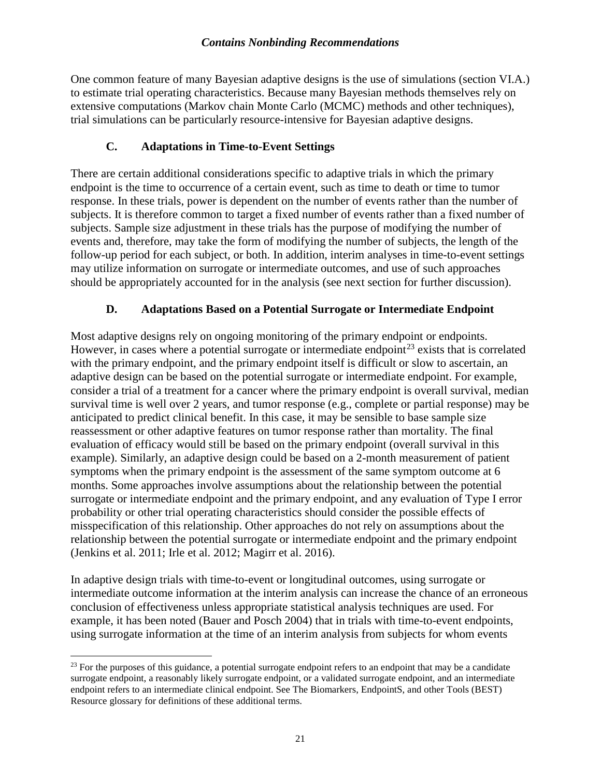One common feature of many Bayesian adaptive designs is the use of simulations (section VI.A.) to estimate trial operating characteristics. Because many Bayesian methods themselves rely on extensive computations (Markov chain Monte Carlo (MCMC) methods and other techniques), trial simulations can be particularly resource-intensive for Bayesian adaptive designs.

## **C. Adaptations in Time-to-Event Settings**

There are certain additional considerations specific to adaptive trials in which the primary endpoint is the time to occurrence of a certain event, such as time to death or time to tumor response. In these trials, power is dependent on the number of events rather than the number of subjects. It is therefore common to target a fixed number of events rather than a fixed number of subjects. Sample size adjustment in these trials has the purpose of modifying the number of events and, therefore, may take the form of modifying the number of subjects, the length of the follow-up period for each subject, or both. In addition, interim analyses in time-to-event settings may utilize information on surrogate or intermediate outcomes, and use of such approaches should be appropriately accounted for in the analysis (see next section for further discussion).

## **D. Adaptations Based on a Potential Surrogate or Intermediate Endpoint**

Most adaptive designs rely on ongoing monitoring of the primary endpoint or endpoints. However, in cases where a potential surrogate or intermediate endpoint<sup>[23](#page-24-0)</sup> exists that is correlated with the primary endpoint, and the primary endpoint itself is difficult or slow to ascertain, an adaptive design can be based on the potential surrogate or intermediate endpoint. For example, consider a trial of a treatment for a cancer where the primary endpoint is overall survival, median survival time is well over 2 years, and tumor response (e.g., complete or partial response) may be anticipated to predict clinical benefit. In this case, it may be sensible to base sample size reassessment or other adaptive features on tumor response rather than mortality. The final evaluation of efficacy would still be based on the primary endpoint (overall survival in this example). Similarly, an adaptive design could be based on a 2-month measurement of patient symptoms when the primary endpoint is the assessment of the same symptom outcome at 6 months. Some approaches involve assumptions about the relationship between the potential surrogate or intermediate endpoint and the primary endpoint, and any evaluation of Type I error probability or other trial operating characteristics should consider the possible effects of misspecification of this relationship. Other approaches do not rely on assumptions about the relationship between the potential surrogate or intermediate endpoint and the primary endpoint (Jenkins et al. 2011; Irle et al. 2012; Magirr et al. 2016).

In adaptive design trials with time-to-event or longitudinal outcomes, using surrogate or intermediate outcome information at the interim analysis can increase the chance of an erroneous conclusion of effectiveness unless appropriate statistical analysis techniques are used. For example, it has been noted (Bauer and Posch 2004) that in trials with time-to-event endpoints, using surrogate information at the time of an interim analysis from subjects for whom events

<span id="page-24-0"></span> $^{23}$  For the purposes of this guidance, a potential surrogate endpoint refers to an endpoint that may be a candidate surrogate endpoint, a reasonably likely surrogate endpoint, or a validated surrogate endpoint, and an intermediate endpoint refers to an intermediate clinical endpoint. See The Biomarkers, EndpointS, and other Tools (BEST) Resource glossary for definitions of these additional terms.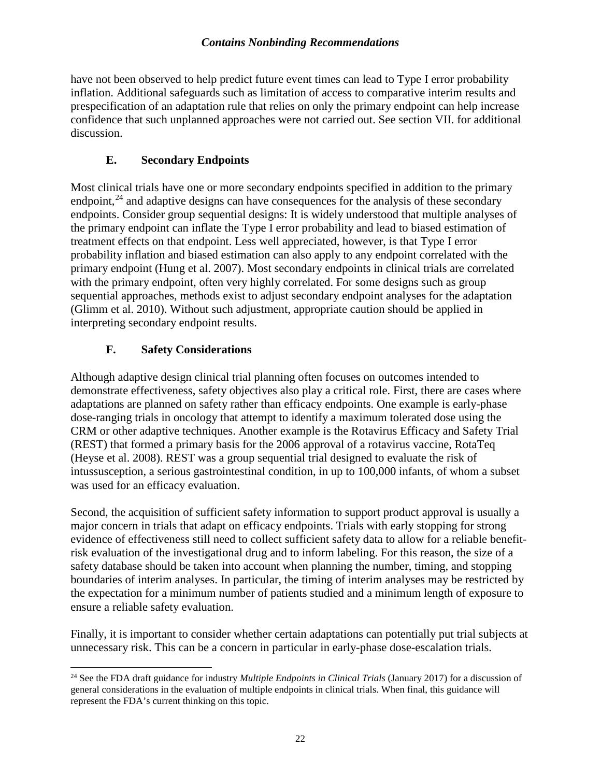have not been observed to help predict future event times can lead to Type I error probability inflation. Additional safeguards such as limitation of access to comparative interim results and prespecification of an adaptation rule that relies on only the primary endpoint can help increase confidence that such unplanned approaches were not carried out. See section VII. for additional discussion.

# **E. Secondary Endpoints**

Most clinical trials have one or more secondary endpoints specified in addition to the primary endpoint,  $24$  and adaptive designs can have consequences for the analysis of these secondary endpoints. Consider group sequential designs: It is widely understood that multiple analyses of the primary endpoint can inflate the Type I error probability and lead to biased estimation of treatment effects on that endpoint. Less well appreciated, however, is that Type I error probability inflation and biased estimation can also apply to any endpoint correlated with the primary endpoint (Hung et al. 2007). Most secondary endpoints in clinical trials are correlated with the primary endpoint, often very highly correlated. For some designs such as group sequential approaches, methods exist to adjust secondary endpoint analyses for the adaptation (Glimm et al. 2010). Without such adjustment, appropriate caution should be applied in interpreting secondary endpoint results.

# **F. Safety Considerations**

Although adaptive design clinical trial planning often focuses on outcomes intended to demonstrate effectiveness, safety objectives also play a critical role. First, there are cases where adaptations are planned on safety rather than efficacy endpoints. One example is early-phase dose-ranging trials in oncology that attempt to identify a maximum tolerated dose using the CRM or other adaptive techniques. Another example is the Rotavirus Efficacy and Safety Trial (REST) that formed a primary basis for the 2006 approval of a rotavirus vaccine, RotaTeq (Heyse et al. 2008). REST was a group sequential trial designed to evaluate the risk of intussusception, a serious gastrointestinal condition, in up to 100,000 infants, of whom a subset was used for an efficacy evaluation.

Second, the acquisition of sufficient safety information to support product approval is usually a major concern in trials that adapt on efficacy endpoints. Trials with early stopping for strong evidence of effectiveness still need to collect sufficient safety data to allow for a reliable benefitrisk evaluation of the investigational drug and to inform labeling. For this reason, the size of a safety database should be taken into account when planning the number, timing, and stopping boundaries of interim analyses. In particular, the timing of interim analyses may be restricted by the expectation for a minimum number of patients studied and a minimum length of exposure to ensure a reliable safety evaluation.

Finally, it is important to consider whether certain adaptations can potentially put trial subjects at unnecessary risk. This can be a concern in particular in early-phase dose-escalation trials.

<span id="page-25-0"></span> <sup>24</sup> See the FDA draft guidance for industry *Multiple Endpoints in Clinical Trials* (January 2017) for a discussion of general considerations in the evaluation of multiple endpoints in clinical trials. When final, this guidance will represent the FDA's current thinking on this topic.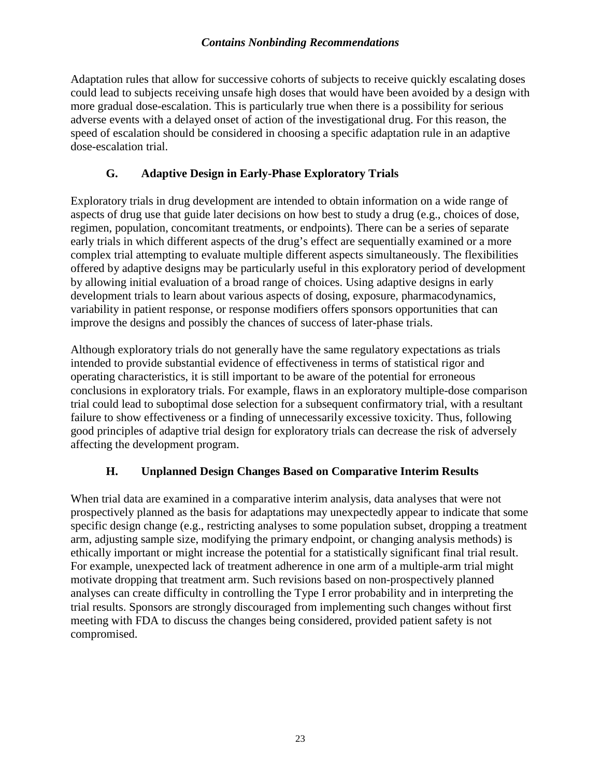Adaptation rules that allow for successive cohorts of subjects to receive quickly escalating doses could lead to subjects receiving unsafe high doses that would have been avoided by a design with more gradual dose-escalation. This is particularly true when there is a possibility for serious adverse events with a delayed onset of action of the investigational drug. For this reason, the speed of escalation should be considered in choosing a specific adaptation rule in an adaptive dose-escalation trial.

## **G. Adaptive Design in Early-Phase Exploratory Trials**

Exploratory trials in drug development are intended to obtain information on a wide range of aspects of drug use that guide later decisions on how best to study a drug (e.g., choices of dose, regimen, population, concomitant treatments, or endpoints). There can be a series of separate early trials in which different aspects of the drug's effect are sequentially examined or a more complex trial attempting to evaluate multiple different aspects simultaneously. The flexibilities offered by adaptive designs may be particularly useful in this exploratory period of development by allowing initial evaluation of a broad range of choices. Using adaptive designs in early development trials to learn about various aspects of dosing, exposure, pharmacodynamics, variability in patient response, or response modifiers offers sponsors opportunities that can improve the designs and possibly the chances of success of later-phase trials.

Although exploratory trials do not generally have the same regulatory expectations as trials intended to provide substantial evidence of effectiveness in terms of statistical rigor and operating characteristics, it is still important to be aware of the potential for erroneous conclusions in exploratory trials. For example, flaws in an exploratory multiple-dose comparison trial could lead to suboptimal dose selection for a subsequent confirmatory trial, with a resultant failure to show effectiveness or a finding of unnecessarily excessive toxicity. Thus, following good principles of adaptive trial design for exploratory trials can decrease the risk of adversely affecting the development program.

# **H. Unplanned Design Changes Based on Comparative Interim Results**

When trial data are examined in a comparative interim analysis, data analyses that were not prospectively planned as the basis for adaptations may unexpectedly appear to indicate that some specific design change (e.g., restricting analyses to some population subset, dropping a treatment arm, adjusting sample size, modifying the primary endpoint, or changing analysis methods) is ethically important or might increase the potential for a statistically significant final trial result. For example, unexpected lack of treatment adherence in one arm of a multiple-arm trial might motivate dropping that treatment arm. Such revisions based on non-prospectively planned analyses can create difficulty in controlling the Type I error probability and in interpreting the trial results. Sponsors are strongly discouraged from implementing such changes without first meeting with FDA to discuss the changes being considered, provided patient safety is not compromised.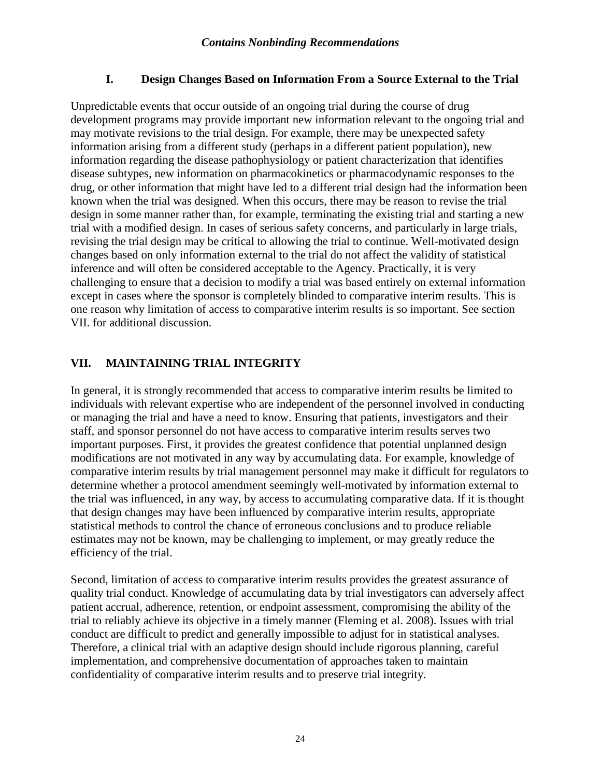## **I. Design Changes Based on Information From a Source External to the Trial**

Unpredictable events that occur outside of an ongoing trial during the course of drug development programs may provide important new information relevant to the ongoing trial and may motivate revisions to the trial design. For example, there may be unexpected safety information arising from a different study (perhaps in a different patient population), new information regarding the disease pathophysiology or patient characterization that identifies disease subtypes, new information on pharmacokinetics or pharmacodynamic responses to the drug, or other information that might have led to a different trial design had the information been known when the trial was designed. When this occurs, there may be reason to revise the trial design in some manner rather than, for example, terminating the existing trial and starting a new trial with a modified design. In cases of serious safety concerns, and particularly in large trials, revising the trial design may be critical to allowing the trial to continue. Well-motivated design changes based on only information external to the trial do not affect the validity of statistical inference and will often be considered acceptable to the Agency. Practically, it is very challenging to ensure that a decision to modify a trial was based entirely on external information except in cases where the sponsor is completely blinded to comparative interim results. This is one reason why limitation of access to comparative interim results is so important. See section VII. for additional discussion.

# **VII. MAINTAINING TRIAL INTEGRITY**

In general, it is strongly recommended that access to comparative interim results be limited to individuals with relevant expertise who are independent of the personnel involved in conducting or managing the trial and have a need to know. Ensuring that patients, investigators and their staff, and sponsor personnel do not have access to comparative interim results serves two important purposes. First, it provides the greatest confidence that potential unplanned design modifications are not motivated in any way by accumulating data. For example, knowledge of comparative interim results by trial management personnel may make it difficult for regulators to determine whether a protocol amendment seemingly well-motivated by information external to the trial was influenced, in any way, by access to accumulating comparative data. If it is thought that design changes may have been influenced by comparative interim results, appropriate statistical methods to control the chance of erroneous conclusions and to produce reliable estimates may not be known, may be challenging to implement, or may greatly reduce the efficiency of the trial.

Second, limitation of access to comparative interim results provides the greatest assurance of quality trial conduct. Knowledge of accumulating data by trial investigators can adversely affect patient accrual, adherence, retention, or endpoint assessment, compromising the ability of the trial to reliably achieve its objective in a timely manner (Fleming et al. 2008). Issues with trial conduct are difficult to predict and generally impossible to adjust for in statistical analyses. Therefore, a clinical trial with an adaptive design should include rigorous planning, careful implementation, and comprehensive documentation of approaches taken to maintain confidentiality of comparative interim results and to preserve trial integrity.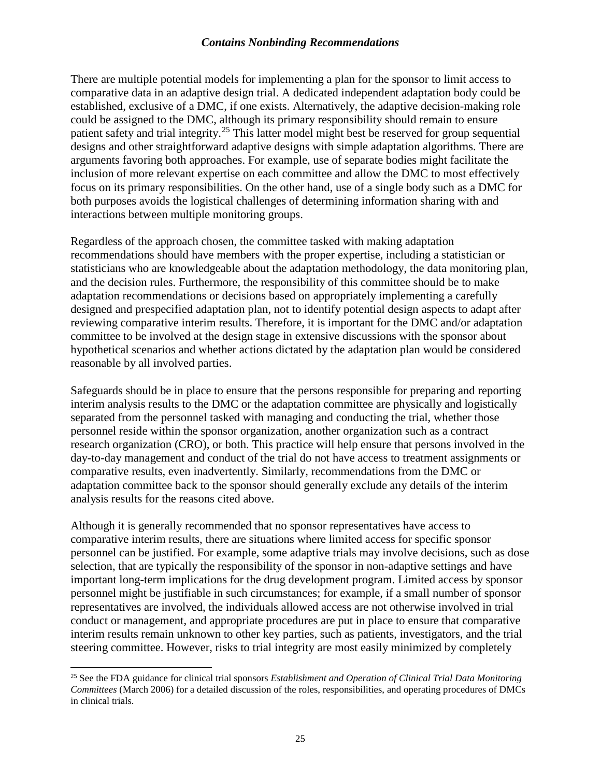There are multiple potential models for implementing a plan for the sponsor to limit access to comparative data in an adaptive design trial. A dedicated independent adaptation body could be established, exclusive of a DMC, if one exists. Alternatively, the adaptive decision-making role could be assigned to the DMC, although its primary responsibility should remain to ensure patient safety and trial integrity.<sup>[25](#page-28-0)</sup> This latter model might best be reserved for group sequential designs and other straightforward adaptive designs with simple adaptation algorithms. There are arguments favoring both approaches. For example, use of separate bodies might facilitate the inclusion of more relevant expertise on each committee and allow the DMC to most effectively focus on its primary responsibilities. On the other hand, use of a single body such as a DMC for both purposes avoids the logistical challenges of determining information sharing with and interactions between multiple monitoring groups.

Regardless of the approach chosen, the committee tasked with making adaptation recommendations should have members with the proper expertise, including a statistician or statisticians who are knowledgeable about the adaptation methodology, the data monitoring plan, and the decision rules. Furthermore, the responsibility of this committee should be to make adaptation recommendations or decisions based on appropriately implementing a carefully designed and prespecified adaptation plan, not to identify potential design aspects to adapt after reviewing comparative interim results. Therefore, it is important for the DMC and/or adaptation committee to be involved at the design stage in extensive discussions with the sponsor about hypothetical scenarios and whether actions dictated by the adaptation plan would be considered reasonable by all involved parties.

Safeguards should be in place to ensure that the persons responsible for preparing and reporting interim analysis results to the DMC or the adaptation committee are physically and logistically separated from the personnel tasked with managing and conducting the trial, whether those personnel reside within the sponsor organization, another organization such as a contract research organization (CRO), or both. This practice will help ensure that persons involved in the day-to-day management and conduct of the trial do not have access to treatment assignments or comparative results, even inadvertently. Similarly, recommendations from the DMC or adaptation committee back to the sponsor should generally exclude any details of the interim analysis results for the reasons cited above.

Although it is generally recommended that no sponsor representatives have access to comparative interim results, there are situations where limited access for specific sponsor personnel can be justified. For example, some adaptive trials may involve decisions, such as dose selection, that are typically the responsibility of the sponsor in non-adaptive settings and have important long-term implications for the drug development program. Limited access by sponsor personnel might be justifiable in such circumstances; for example, if a small number of sponsor representatives are involved, the individuals allowed access are not otherwise involved in trial conduct or management, and appropriate procedures are put in place to ensure that comparative interim results remain unknown to other key parties, such as patients, investigators, and the trial steering committee. However, risks to trial integrity are most easily minimized by completely

<span id="page-28-0"></span> <sup>25</sup> See the FDA guidance for clinical trial sponsors *Establishment and Operation of Clinical Trial Data Monitoring Committees* (March 2006) for a detailed discussion of the roles, responsibilities, and operating procedures of DMCs in clinical trials.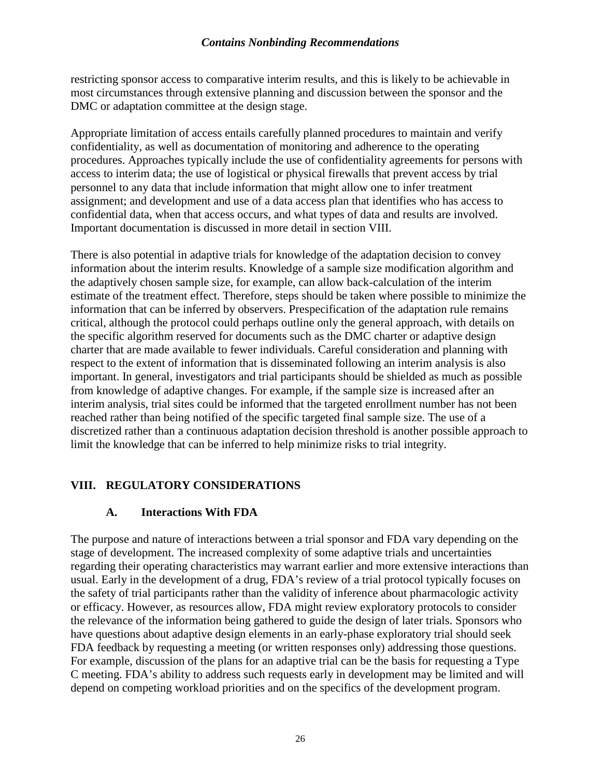restricting sponsor access to comparative interim results, and this is likely to be achievable in most circumstances through extensive planning and discussion between the sponsor and the DMC or adaptation committee at the design stage.

Appropriate limitation of access entails carefully planned procedures to maintain and verify confidentiality, as well as documentation of monitoring and adherence to the operating procedures. Approaches typically include the use of confidentiality agreements for persons with access to interim data; the use of logistical or physical firewalls that prevent access by trial personnel to any data that include information that might allow one to infer treatment assignment; and development and use of a data access plan that identifies who has access to confidential data, when that access occurs, and what types of data and results are involved. Important documentation is discussed in more detail in section VIII.

There is also potential in adaptive trials for knowledge of the adaptation decision to convey information about the interim results. Knowledge of a sample size modification algorithm and the adaptively chosen sample size, for example, can allow back-calculation of the interim estimate of the treatment effect. Therefore, steps should be taken where possible to minimize the information that can be inferred by observers. Prespecification of the adaptation rule remains critical, although the protocol could perhaps outline only the general approach, with details on the specific algorithm reserved for documents such as the DMC charter or adaptive design charter that are made available to fewer individuals. Careful consideration and planning with respect to the extent of information that is disseminated following an interim analysis is also important. In general, investigators and trial participants should be shielded as much as possible from knowledge of adaptive changes. For example, if the sample size is increased after an interim analysis, trial sites could be informed that the targeted enrollment number has not been reached rather than being notified of the specific targeted final sample size. The use of a discretized rather than a continuous adaptation decision threshold is another possible approach to limit the knowledge that can be inferred to help minimize risks to trial integrity.

## **VIII. REGULATORY CONSIDERATIONS**

#### **A. Interactions With FDA**

The purpose and nature of interactions between a trial sponsor and FDA vary depending on the stage of development. The increased complexity of some adaptive trials and uncertainties regarding their operating characteristics may warrant earlier and more extensive interactions than usual. Early in the development of a drug, FDA's review of a trial protocol typically focuses on the safety of trial participants rather than the validity of inference about pharmacologic activity or efficacy. However, as resources allow, FDA might review exploratory protocols to consider the relevance of the information being gathered to guide the design of later trials. Sponsors who have questions about adaptive design elements in an early-phase exploratory trial should seek FDA feedback by requesting a meeting (or written responses only) addressing those questions. For example, discussion of the plans for an adaptive trial can be the basis for requesting a Type C meeting. FDA's ability to address such requests early in development may be limited and will depend on competing workload priorities and on the specifics of the development program.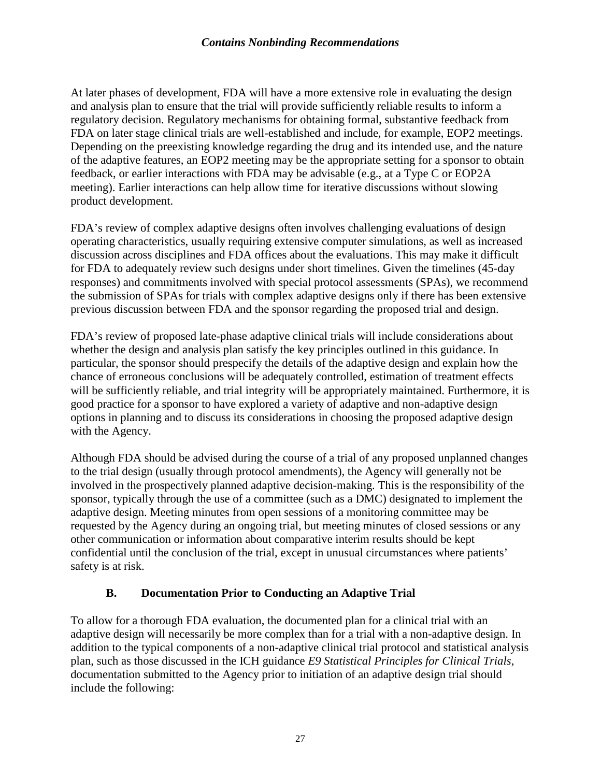At later phases of development, FDA will have a more extensive role in evaluating the design and analysis plan to ensure that the trial will provide sufficiently reliable results to inform a regulatory decision. Regulatory mechanisms for obtaining formal, substantive feedback from FDA on later stage clinical trials are well-established and include, for example, EOP2 meetings. Depending on the preexisting knowledge regarding the drug and its intended use, and the nature of the adaptive features, an EOP2 meeting may be the appropriate setting for a sponsor to obtain feedback, or earlier interactions with FDA may be advisable (e.g., at a Type C or EOP2A meeting). Earlier interactions can help allow time for iterative discussions without slowing product development.

FDA's review of complex adaptive designs often involves challenging evaluations of design operating characteristics, usually requiring extensive computer simulations, as well as increased discussion across disciplines and FDA offices about the evaluations. This may make it difficult for FDA to adequately review such designs under short timelines. Given the timelines (45-day responses) and commitments involved with special protocol assessments (SPAs), we recommend the submission of SPAs for trials with complex adaptive designs only if there has been extensive previous discussion between FDA and the sponsor regarding the proposed trial and design.

FDA's review of proposed late-phase adaptive clinical trials will include considerations about whether the design and analysis plan satisfy the key principles outlined in this guidance. In particular, the sponsor should prespecify the details of the adaptive design and explain how the chance of erroneous conclusions will be adequately controlled, estimation of treatment effects will be sufficiently reliable, and trial integrity will be appropriately maintained. Furthermore, it is good practice for a sponsor to have explored a variety of adaptive and non-adaptive design options in planning and to discuss its considerations in choosing the proposed adaptive design with the Agency.

Although FDA should be advised during the course of a trial of any proposed unplanned changes to the trial design (usually through protocol amendments), the Agency will generally not be involved in the prospectively planned adaptive decision-making. This is the responsibility of the sponsor, typically through the use of a committee (such as a DMC) designated to implement the adaptive design. Meeting minutes from open sessions of a monitoring committee may be requested by the Agency during an ongoing trial, but meeting minutes of closed sessions or any other communication or information about comparative interim results should be kept confidential until the conclusion of the trial, except in unusual circumstances where patients' safety is at risk.

# **B. Documentation Prior to Conducting an Adaptive Trial**

To allow for a thorough FDA evaluation, the documented plan for a clinical trial with an adaptive design will necessarily be more complex than for a trial with a non-adaptive design. In addition to the typical components of a non-adaptive clinical trial protocol and statistical analysis plan, such as those discussed in the ICH guidance *E9 Statistical Principles for Clinical Trials*, documentation submitted to the Agency prior to initiation of an adaptive design trial should include the following: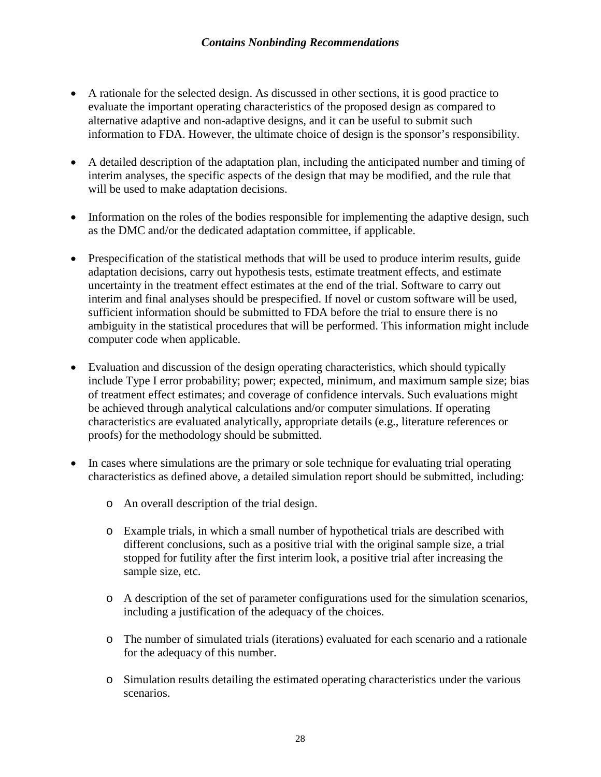- A rationale for the selected design. As discussed in other sections, it is good practice to evaluate the important operating characteristics of the proposed design as compared to alternative adaptive and non-adaptive designs, and it can be useful to submit such information to FDA. However, the ultimate choice of design is the sponsor's responsibility.
- A detailed description of the adaptation plan, including the anticipated number and timing of interim analyses, the specific aspects of the design that may be modified, and the rule that will be used to make adaptation decisions.
- Information on the roles of the bodies responsible for implementing the adaptive design, such as the DMC and/or the dedicated adaptation committee, if applicable.
- Prespecification of the statistical methods that will be used to produce interim results, guide adaptation decisions, carry out hypothesis tests, estimate treatment effects, and estimate uncertainty in the treatment effect estimates at the end of the trial. Software to carry out interim and final analyses should be prespecified. If novel or custom software will be used, sufficient information should be submitted to FDA before the trial to ensure there is no ambiguity in the statistical procedures that will be performed. This information might include computer code when applicable.
- Evaluation and discussion of the design operating characteristics, which should typically include Type I error probability; power; expected, minimum, and maximum sample size; bias of treatment effect estimates; and coverage of confidence intervals. Such evaluations might be achieved through analytical calculations and/or computer simulations. If operating characteristics are evaluated analytically, appropriate details (e.g., literature references or proofs) for the methodology should be submitted.
- In cases where simulations are the primary or sole technique for evaluating trial operating characteristics as defined above, a detailed simulation report should be submitted, including:
	- o An overall description of the trial design.
	- o Example trials, in which a small number of hypothetical trials are described with different conclusions, such as a positive trial with the original sample size, a trial stopped for futility after the first interim look, a positive trial after increasing the sample size, etc.
	- o A description of the set of parameter configurations used for the simulation scenarios, including a justification of the adequacy of the choices.
	- o The number of simulated trials (iterations) evaluated for each scenario and a rationale for the adequacy of this number.
	- o Simulation results detailing the estimated operating characteristics under the various scenarios.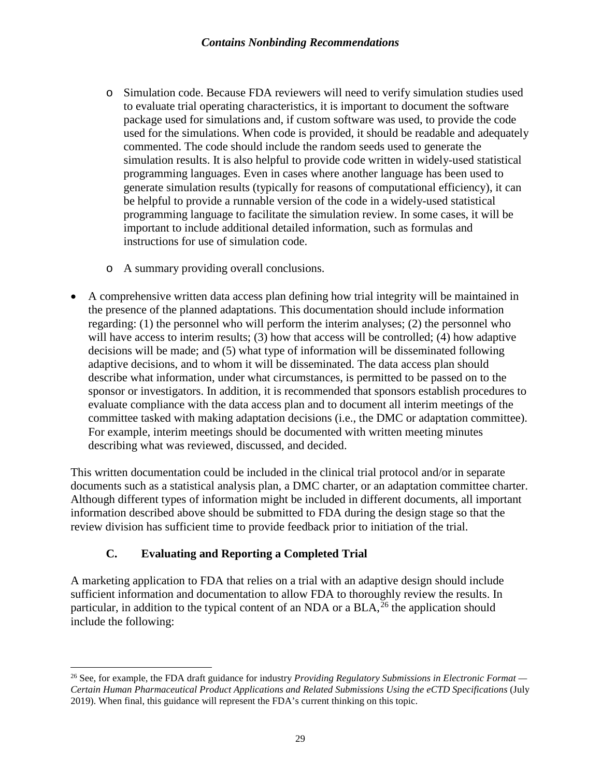- o Simulation code. Because FDA reviewers will need to verify simulation studies used to evaluate trial operating characteristics, it is important to document the software package used for simulations and, if custom software was used, to provide the code used for the simulations. When code is provided, it should be readable and adequately commented. The code should include the random seeds used to generate the simulation results. It is also helpful to provide code written in widely-used statistical programming languages. Even in cases where another language has been used to generate simulation results (typically for reasons of computational efficiency), it can be helpful to provide a runnable version of the code in a widely-used statistical programming language to facilitate the simulation review. In some cases, it will be important to include additional detailed information, such as formulas and instructions for use of simulation code.
- o A summary providing overall conclusions.
- A comprehensive written data access plan defining how trial integrity will be maintained in the presence of the planned adaptations. This documentation should include information regarding: (1) the personnel who will perform the interim analyses; (2) the personnel who will have access to interim results; (3) how that access will be controlled; (4) how adaptive decisions will be made; and (5) what type of information will be disseminated following adaptive decisions, and to whom it will be disseminated. The data access plan should describe what information, under what circumstances, is permitted to be passed on to the sponsor or investigators. In addition, it is recommended that sponsors establish procedures to evaluate compliance with the data access plan and to document all interim meetings of the committee tasked with making adaptation decisions (i.e., the DMC or adaptation committee). For example, interim meetings should be documented with written meeting minutes describing what was reviewed, discussed, and decided.

This written documentation could be included in the clinical trial protocol and/or in separate documents such as a statistical analysis plan, a DMC charter, or an adaptation committee charter. Although different types of information might be included in different documents, all important information described above should be submitted to FDA during the design stage so that the review division has sufficient time to provide feedback prior to initiation of the trial.

# **C. Evaluating and Reporting a Completed Trial**

A marketing application to FDA that relies on a trial with an adaptive design should include sufficient information and documentation to allow FDA to thoroughly review the results. In particular, in addition to the typical content of an NDA or a BLA,<sup>[26](#page-32-0)</sup> the application should include the following:

<span id="page-32-0"></span> <sup>26</sup> See, for example, the FDA draft guidance for industry *Providing Regulatory Submissions in Electronic Format — Certain Human Pharmaceutical Product Applications and Related Submissions Using the eCTD Specifications* (July 2019). When final, this guidance will represent the FDA's current thinking on this topic.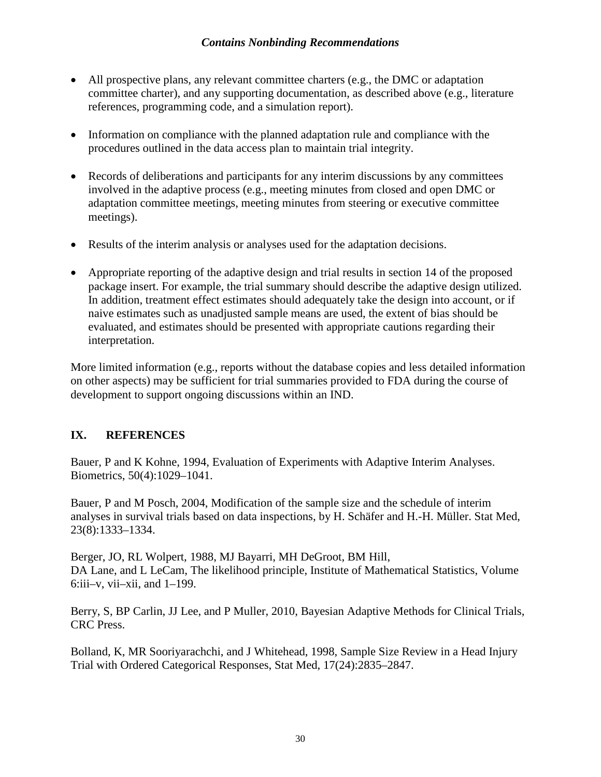- All prospective plans, any relevant committee charters (e.g., the DMC or adaptation committee charter), and any supporting documentation, as described above (e.g., literature references, programming code, and a simulation report).
- Information on compliance with the planned adaptation rule and compliance with the procedures outlined in the data access plan to maintain trial integrity.
- Records of deliberations and participants for any interim discussions by any committees involved in the adaptive process (e.g., meeting minutes from closed and open DMC or adaptation committee meetings, meeting minutes from steering or executive committee meetings).
- Results of the interim analysis or analyses used for the adaptation decisions.
- Appropriate reporting of the adaptive design and trial results in section 14 of the proposed package insert. For example, the trial summary should describe the adaptive design utilized. In addition, treatment effect estimates should adequately take the design into account, or if naive estimates such as unadjusted sample means are used, the extent of bias should be evaluated, and estimates should be presented with appropriate cautions regarding their interpretation.

More limited information (e.g., reports without the database copies and less detailed information on other aspects) may be sufficient for trial summaries provided to FDA during the course of development to support ongoing discussions within an IND.

## **IX. REFERENCES**

Bauer, P and K Kohne, 1994, Evaluation of Experiments with Adaptive Interim Analyses. Biometrics, 50(4):1029–1041.

Bauer, P and M Posch, 2004, Modification of the sample size and the schedule of interim analyses in survival trials based on data inspections, by H. Schäfer and H.-H. Müller. Stat Med, 23(8):1333–1334.

Berger, JO, RL Wolpert, 1988, MJ Bayarri, MH DeGroot, BM Hill, DA Lane, and L LeCam, The likelihood principle, Institute of Mathematical Statistics, Volume  $6:iii-v$ , vii–xii, and  $1-199$ .

Berry, S, BP Carlin, JJ Lee, and P Muller, 2010, Bayesian Adaptive Methods for Clinical Trials, CRC Press.

Bolland, K, MR Sooriyarachchi, and J Whitehead, 1998, Sample Size Review in a Head Injury Trial with Ordered Categorical Responses, Stat Med, 17(24):2835–2847.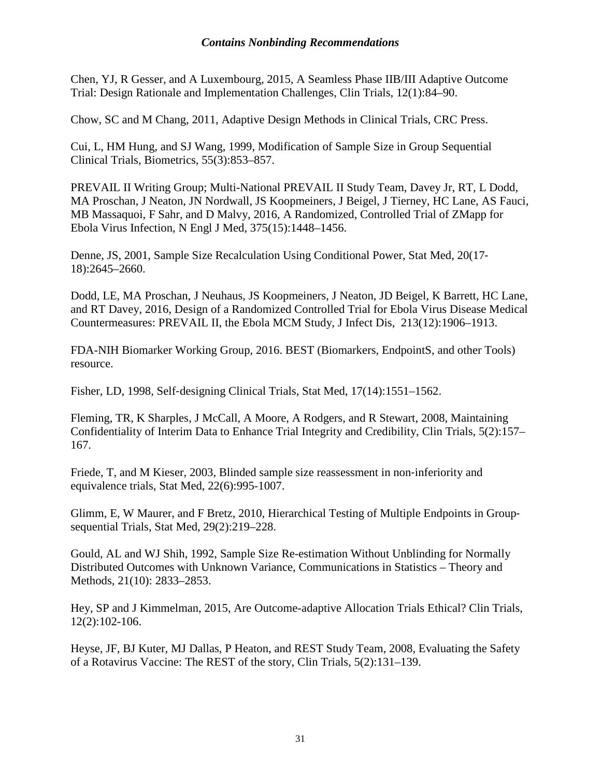Chen, YJ, R Gesser, and A Luxembourg, 2015, A Seamless Phase IIB/III Adaptive Outcome Trial: Design Rationale and Implementation Challenges, Clin Trials, 12(1):84–90.

Chow, SC and M Chang, 2011, Adaptive Design Methods in Clinical Trials, CRC Press.

Cui, L, HM Hung, and SJ Wang, 1999, Modification of Sample Size in Group Sequential Clinical Trials, Biometrics, 55(3):853–857.

PREVAIL II Writing Group; Multi-National PREVAIL II Study Team, Davey Jr, RT, L Dodd, MA Proschan, J Neaton, JN Nordwall, JS Koopmeiners, J Beigel, J Tierney, HC Lane, AS Fauci, MB Massaquoi, F Sahr, and D Malvy, 2016, A Randomized, Controlled Trial of ZMapp for Ebola Virus Infection, N Engl J Med, 375(15):1448–1456.

Denne, JS, 2001, Sample Size Recalculation Using Conditional Power, Stat Med, 20(17‐ 18):2645–2660.

Dodd, LE, MA Proschan, J Neuhaus, JS Koopmeiners, J Neaton, JD Beigel, K Barrett, HC Lane, and RT Davey, 2016, Design of a Randomized Controlled Trial for Ebola Virus Disease Medical Countermeasures: PREVAIL II, the Ebola MCM Study, J Infect Dis, 213(12):1906–1913.

FDA-NIH Biomarker Working Group, 2016. BEST (Biomarkers, EndpointS, and other Tools) resource.

Fisher, LD, 1998, Self‐designing Clinical Trials, Stat Med, 17(14):1551–1562.

Fleming, TR, K Sharples, J McCall, A Moore, A Rodgers, and R Stewart, 2008, Maintaining Confidentiality of Interim Data to Enhance Trial Integrity and Credibility, Clin Trials, 5(2):157– 167.

Friede, T, and M Kieser, 2003, Blinded sample size reassessment in non-inferiority and equivalence trials, Stat Med, 22(6):995-1007.

Glimm, E, W Maurer, and F Bretz, 2010, Hierarchical Testing of Multiple Endpoints in Group‐ sequential Trials, Stat Med, 29(2):219–228.

Gould, AL and WJ Shih, 1992, Sample Size Re-estimation Without Unblinding for Normally Distributed Outcomes with Unknown Variance, Communications in Statistics – Theory and Methods, 21(10): 2833–2853.

Hey, SP and J Kimmelman, 2015, Are Outcome-adaptive Allocation Trials Ethical? Clin Trials, 12(2):102-106.

Heyse, JF, BJ Kuter, MJ Dallas, P Heaton, and REST Study Team, 2008, Evaluating the Safety of a Rotavirus Vaccine: The REST of the story, Clin Trials, 5(2):131–139.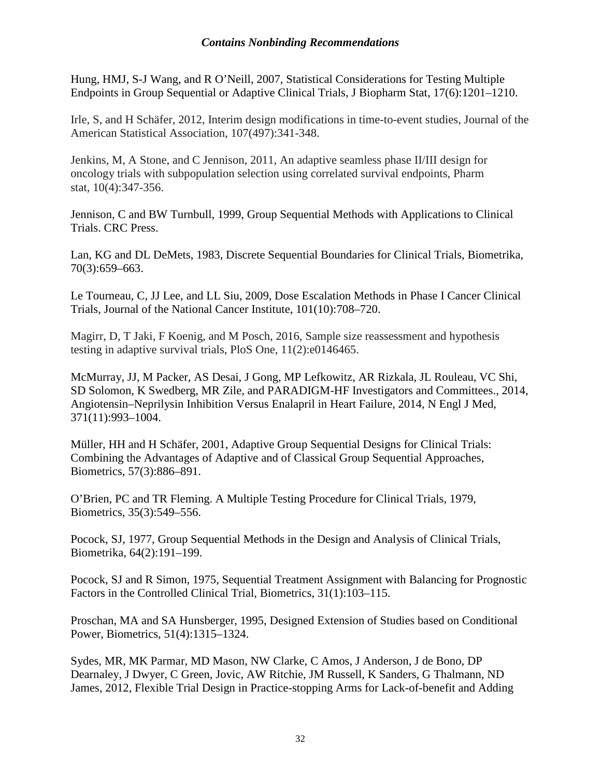Hung, HMJ, S-J Wang, and R O'Neill, 2007, Statistical Considerations for Testing Multiple Endpoints in Group Sequential or Adaptive Clinical Trials, J Biopharm Stat, 17(6):1201–1210.

Irle, S, and H Schäfer, 2012, Interim design modifications in time-to-event studies, Journal of the American Statistical Association, 107(497):341-348.

Jenkins, M, A Stone, and C Jennison, 2011, An adaptive seamless phase II/III design for oncology trials with subpopulation selection using correlated survival endpoints, Pharm stat, 10(4):347-356.

Jennison, C and BW Turnbull, 1999, Group Sequential Methods with Applications to Clinical Trials. CRC Press.

Lan, KG and DL DeMets, 1983, Discrete Sequential Boundaries for Clinical Trials, Biometrika, 70(3):659–663.

Le Tourneau, C, JJ Lee, and LL Siu, 2009, Dose Escalation Methods in Phase I Cancer Clinical Trials, Journal of the National Cancer Institute, 101(10):708–720.

Magirr, D, T Jaki, F Koenig, and M Posch, 2016, Sample size reassessment and hypothesis testing in adaptive survival trials, PloS One, 11(2):e0146465.

McMurray, JJ, M Packer, AS Desai, J Gong, MP Lefkowitz, AR Rizkala, JL Rouleau, VC Shi, SD Solomon, K Swedberg, MR Zile, and PARADIGM-HF Investigators and Committees., 2014, Angiotensin–Neprilysin Inhibition Versus Enalapril in Heart Failure, 2014, N Engl J Med, 371(11):993–1004.

Müller, HH and H Schäfer, 2001, Adaptive Group Sequential Designs for Clinical Trials: Combining the Advantages of Adaptive and of Classical Group Sequential Approaches, Biometrics, 57(3):886–891.

O'Brien, PC and TR Fleming. A Multiple Testing Procedure for Clinical Trials, 1979, Biometrics, 35(3):549–556.

Pocock, SJ, 1977, Group Sequential Methods in the Design and Analysis of Clinical Trials, Biometrika, 64(2):191–199.

Pocock, SJ and R Simon, 1975, Sequential Treatment Assignment with Balancing for Prognostic Factors in the Controlled Clinical Trial, Biometrics, 31(1):103–115.

Proschan, MA and SA Hunsberger, 1995, Designed Extension of Studies based on Conditional Power, Biometrics, 51(4):1315–1324.

Sydes, MR, MK Parmar, MD Mason, NW Clarke, C Amos, J Anderson, J de Bono, DP Dearnaley, J Dwyer, C Green, Jovic, AW Ritchie, JM Russell, K Sanders, G Thalmann, ND James, 2012, Flexible Trial Design in Practice-stopping Arms for Lack-of-benefit and Adding